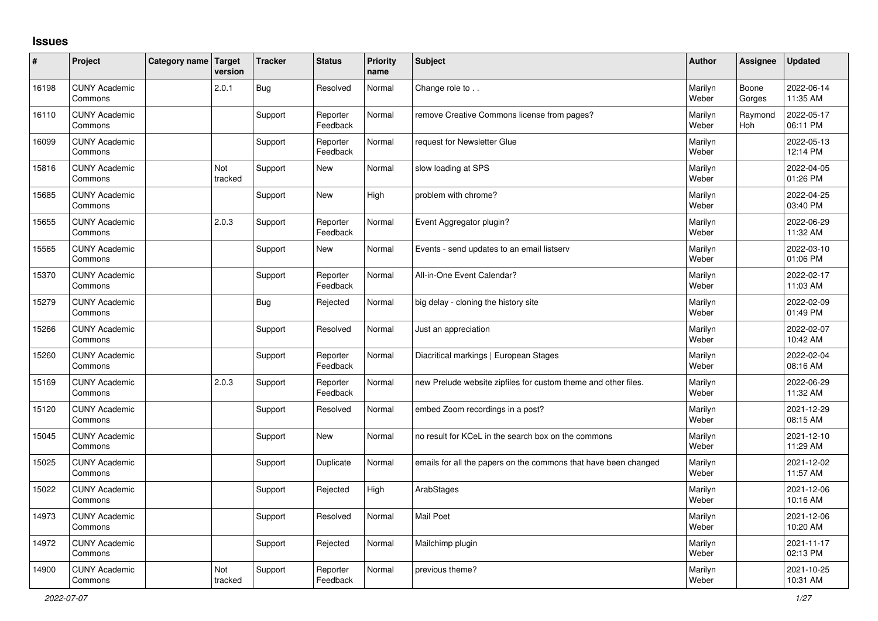## **Issues**

| ∦     | Project                         | Category name Target | version        | <b>Tracker</b> | <b>Status</b>        | <b>Priority</b><br>name | <b>Subject</b>                                                  | <b>Author</b>    | Assignee        | Updated                |
|-------|---------------------------------|----------------------|----------------|----------------|----------------------|-------------------------|-----------------------------------------------------------------|------------------|-----------------|------------------------|
| 16198 | <b>CUNY Academic</b><br>Commons |                      | 2.0.1          | <b>Bug</b>     | Resolved             | Normal                  | Change role to                                                  | Marilyn<br>Weber | Boone<br>Gorges | 2022-06-14<br>11:35 AM |
| 16110 | <b>CUNY Academic</b><br>Commons |                      |                | Support        | Reporter<br>Feedback | Normal                  | remove Creative Commons license from pages?                     | Marilyn<br>Weber | Raymond<br>Hoh  | 2022-05-17<br>06:11 PM |
| 16099 | <b>CUNY Academic</b><br>Commons |                      |                | Support        | Reporter<br>Feedback | Normal                  | request for Newsletter Glue                                     | Marilyn<br>Weber |                 | 2022-05-13<br>12:14 PM |
| 15816 | <b>CUNY Academic</b><br>Commons |                      | Not<br>tracked | Support        | <b>New</b>           | Normal                  | slow loading at SPS                                             | Marilyn<br>Weber |                 | 2022-04-05<br>01:26 PM |
| 15685 | <b>CUNY Academic</b><br>Commons |                      |                | Support        | <b>New</b>           | High                    | problem with chrome?                                            | Marilyn<br>Weber |                 | 2022-04-25<br>03:40 PM |
| 15655 | <b>CUNY Academic</b><br>Commons |                      | 2.0.3          | Support        | Reporter<br>Feedback | Normal                  | Event Aggregator plugin?                                        | Marilyn<br>Weber |                 | 2022-06-29<br>11:32 AM |
| 15565 | <b>CUNY Academic</b><br>Commons |                      |                | Support        | <b>New</b>           | Normal                  | Events - send updates to an email listserv                      | Marilyn<br>Weber |                 | 2022-03-10<br>01:06 PM |
| 15370 | <b>CUNY Academic</b><br>Commons |                      |                | Support        | Reporter<br>Feedback | Normal                  | All-in-One Event Calendar?                                      | Marilyn<br>Weber |                 | 2022-02-17<br>11:03 AM |
| 15279 | <b>CUNY Academic</b><br>Commons |                      |                | <b>Bug</b>     | Rejected             | Normal                  | big delay - cloning the history site                            | Marilyn<br>Weber |                 | 2022-02-09<br>01:49 PM |
| 15266 | <b>CUNY Academic</b><br>Commons |                      |                | Support        | Resolved             | Normal                  | Just an appreciation                                            | Marilyn<br>Weber |                 | 2022-02-07<br>10:42 AM |
| 15260 | <b>CUNY Academic</b><br>Commons |                      |                | Support        | Reporter<br>Feedback | Normal                  | Diacritical markings   European Stages                          | Marilyn<br>Weber |                 | 2022-02-04<br>08:16 AM |
| 15169 | <b>CUNY Academic</b><br>Commons |                      | 2.0.3          | Support        | Reporter<br>Feedback | Normal                  | new Prelude website zipfiles for custom theme and other files.  | Marilyn<br>Weber |                 | 2022-06-29<br>11:32 AM |
| 15120 | <b>CUNY Academic</b><br>Commons |                      |                | Support        | Resolved             | Normal                  | embed Zoom recordings in a post?                                | Marilyn<br>Weber |                 | 2021-12-29<br>08:15 AM |
| 15045 | <b>CUNY Academic</b><br>Commons |                      |                | Support        | <b>New</b>           | Normal                  | no result for KCeL in the search box on the commons             | Marilyn<br>Weber |                 | 2021-12-10<br>11:29 AM |
| 15025 | <b>CUNY Academic</b><br>Commons |                      |                | Support        | Duplicate            | Normal                  | emails for all the papers on the commons that have been changed | Marilyn<br>Weber |                 | 2021-12-02<br>11:57 AM |
| 15022 | <b>CUNY Academic</b><br>Commons |                      |                | Support        | Rejected             | High                    | ArabStages                                                      | Marilyn<br>Weber |                 | 2021-12-06<br>10:16 AM |
| 14973 | <b>CUNY Academic</b><br>Commons |                      |                | Support        | Resolved             | Normal                  | <b>Mail Poet</b>                                                | Marilyn<br>Weber |                 | 2021-12-06<br>10:20 AM |
| 14972 | <b>CUNY Academic</b><br>Commons |                      |                | Support        | Rejected             | Normal                  | Mailchimp plugin                                                | Marilyn<br>Weber |                 | 2021-11-17<br>02:13 PM |
| 14900 | <b>CUNY Academic</b><br>Commons |                      | Not<br>tracked | Support        | Reporter<br>Feedback | Normal                  | previous theme?                                                 | Marilyn<br>Weber |                 | 2021-10-25<br>10:31 AM |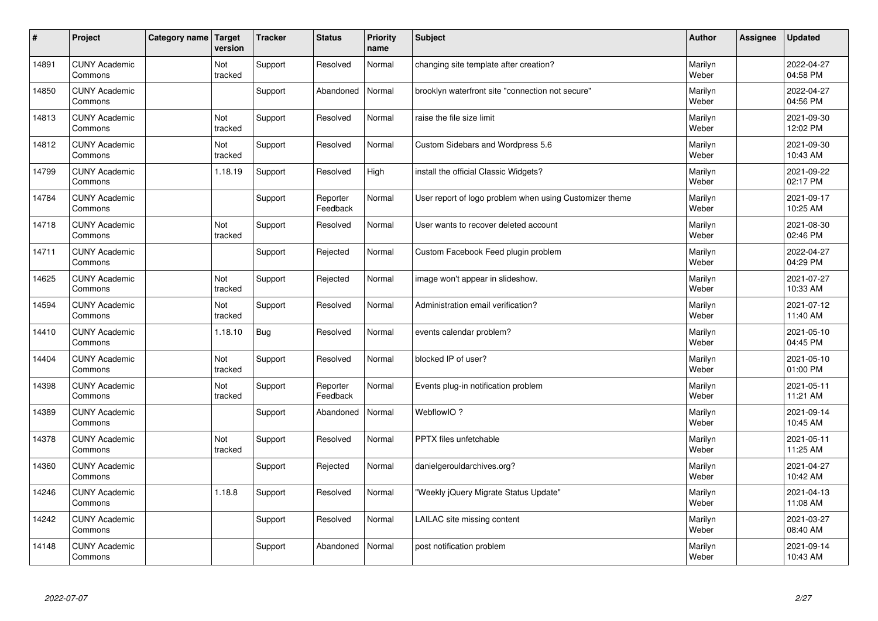| $\sharp$ | Project                         | Category name | Target<br>version | <b>Tracker</b> | <b>Status</b>        | <b>Priority</b><br>name | <b>Subject</b>                                          | <b>Author</b>    | Assignee | <b>Updated</b>         |
|----------|---------------------------------|---------------|-------------------|----------------|----------------------|-------------------------|---------------------------------------------------------|------------------|----------|------------------------|
| 14891    | <b>CUNY Academic</b><br>Commons |               | Not<br>tracked    | Support        | Resolved             | Normal                  | changing site template after creation?                  | Marilyn<br>Weber |          | 2022-04-27<br>04:58 PM |
| 14850    | <b>CUNY Academic</b><br>Commons |               |                   | Support        | Abandoned            | Normal                  | brooklyn waterfront site "connection not secure"        | Marilyn<br>Weber |          | 2022-04-27<br>04:56 PM |
| 14813    | <b>CUNY Academic</b><br>Commons |               | Not<br>tracked    | Support        | Resolved             | Normal                  | raise the file size limit                               | Marilyn<br>Weber |          | 2021-09-30<br>12:02 PM |
| 14812    | <b>CUNY Academic</b><br>Commons |               | Not<br>tracked    | Support        | Resolved             | Normal                  | Custom Sidebars and Wordpress 5.6                       | Marilyn<br>Weber |          | 2021-09-30<br>10:43 AM |
| 14799    | <b>CUNY Academic</b><br>Commons |               | 1.18.19           | Support        | Resolved             | High                    | install the official Classic Widgets?                   | Marilyn<br>Weber |          | 2021-09-22<br>02:17 PM |
| 14784    | <b>CUNY Academic</b><br>Commons |               |                   | Support        | Reporter<br>Feedback | Normal                  | User report of logo problem when using Customizer theme | Marilyn<br>Weber |          | 2021-09-17<br>10:25 AM |
| 14718    | <b>CUNY Academic</b><br>Commons |               | Not<br>tracked    | Support        | Resolved             | Normal                  | User wants to recover deleted account                   | Marilyn<br>Weber |          | 2021-08-30<br>02:46 PM |
| 14711    | <b>CUNY Academic</b><br>Commons |               |                   | Support        | Rejected             | Normal                  | Custom Facebook Feed plugin problem                     | Marilyn<br>Weber |          | 2022-04-27<br>04:29 PM |
| 14625    | <b>CUNY Academic</b><br>Commons |               | Not<br>tracked    | Support        | Rejected             | Normal                  | image won't appear in slideshow.                        | Marilyn<br>Weber |          | 2021-07-27<br>10:33 AM |
| 14594    | <b>CUNY Academic</b><br>Commons |               | Not<br>tracked    | Support        | Resolved             | Normal                  | Administration email verification?                      | Marilyn<br>Weber |          | 2021-07-12<br>11:40 AM |
| 14410    | <b>CUNY Academic</b><br>Commons |               | 1.18.10           | <b>Bug</b>     | Resolved             | Normal                  | events calendar problem?                                | Marilyn<br>Weber |          | 2021-05-10<br>04:45 PM |
| 14404    | <b>CUNY Academic</b><br>Commons |               | Not<br>tracked    | Support        | Resolved             | Normal                  | blocked IP of user?                                     | Marilyn<br>Weber |          | 2021-05-10<br>01:00 PM |
| 14398    | <b>CUNY Academic</b><br>Commons |               | Not<br>tracked    | Support        | Reporter<br>Feedback | Normal                  | Events plug-in notification problem                     | Marilyn<br>Weber |          | 2021-05-11<br>11:21 AM |
| 14389    | <b>CUNY Academic</b><br>Commons |               |                   | Support        | Abandoned            | Normal                  | WebflowIO?                                              | Marilyn<br>Weber |          | 2021-09-14<br>10:45 AM |
| 14378    | <b>CUNY Academic</b><br>Commons |               | Not<br>tracked    | Support        | Resolved             | Normal                  | <b>PPTX</b> files unfetchable                           | Marilyn<br>Weber |          | 2021-05-11<br>11:25 AM |
| 14360    | <b>CUNY Academic</b><br>Commons |               |                   | Support        | Rejected             | Normal                  | danielgerouldarchives.org?                              | Marilyn<br>Weber |          | 2021-04-27<br>10:42 AM |
| 14246    | <b>CUNY Academic</b><br>Commons |               | 1.18.8            | Support        | Resolved             | Normal                  | 'Weekly jQuery Migrate Status Update"                   | Marilyn<br>Weber |          | 2021-04-13<br>11:08 AM |
| 14242    | <b>CUNY Academic</b><br>Commons |               |                   | Support        | Resolved             | Normal                  | LAILAC site missing content                             | Marilyn<br>Weber |          | 2021-03-27<br>08:40 AM |
| 14148    | <b>CUNY Academic</b><br>Commons |               |                   | Support        | Abandoned            | Normal                  | post notification problem                               | Marilyn<br>Weber |          | 2021-09-14<br>10:43 AM |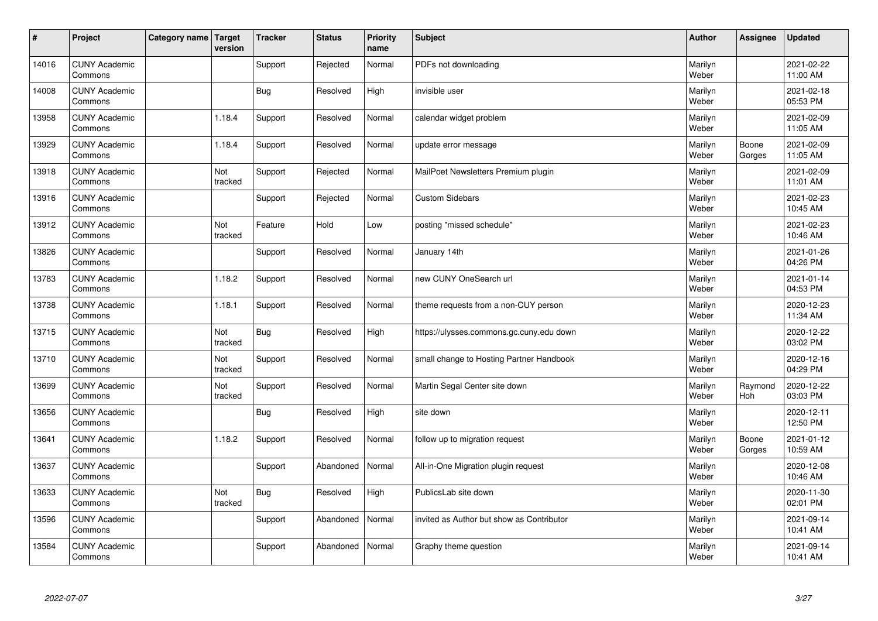| $\vert$ # | Project                         | Category name   Target | version        | <b>Tracker</b> | <b>Status</b> | <b>Priority</b><br>name | <b>Subject</b>                            | <b>Author</b>    | <b>Assignee</b> | <b>Updated</b>         |
|-----------|---------------------------------|------------------------|----------------|----------------|---------------|-------------------------|-------------------------------------------|------------------|-----------------|------------------------|
| 14016     | <b>CUNY Academic</b><br>Commons |                        |                | Support        | Rejected      | Normal                  | PDFs not downloading                      | Marilyn<br>Weber |                 | 2021-02-22<br>11:00 AM |
| 14008     | <b>CUNY Academic</b><br>Commons |                        |                | <b>Bug</b>     | Resolved      | High                    | invisible user                            | Marilyn<br>Weber |                 | 2021-02-18<br>05:53 PM |
| 13958     | <b>CUNY Academic</b><br>Commons |                        | 1.18.4         | Support        | Resolved      | Normal                  | calendar widget problem                   | Marilyn<br>Weber |                 | 2021-02-09<br>11:05 AM |
| 13929     | <b>CUNY Academic</b><br>Commons |                        | 1.18.4         | Support        | Resolved      | Normal                  | update error message                      | Marilyn<br>Weber | Boone<br>Gorges | 2021-02-09<br>11:05 AM |
| 13918     | <b>CUNY Academic</b><br>Commons |                        | Not<br>tracked | Support        | Rejected      | Normal                  | MailPoet Newsletters Premium plugin       | Marilyn<br>Weber |                 | 2021-02-09<br>11:01 AM |
| 13916     | <b>CUNY Academic</b><br>Commons |                        |                | Support        | Rejected      | Normal                  | <b>Custom Sidebars</b>                    | Marilyn<br>Weber |                 | 2021-02-23<br>10:45 AM |
| 13912     | <b>CUNY Academic</b><br>Commons |                        | Not<br>tracked | Feature        | Hold          | Low                     | posting "missed schedule"                 | Marilyn<br>Weber |                 | 2021-02-23<br>10:46 AM |
| 13826     | <b>CUNY Academic</b><br>Commons |                        |                | Support        | Resolved      | Normal                  | January 14th                              | Marilyn<br>Weber |                 | 2021-01-26<br>04:26 PM |
| 13783     | <b>CUNY Academic</b><br>Commons |                        | 1.18.2         | Support        | Resolved      | Normal                  | new CUNY OneSearch url                    | Marilyn<br>Weber |                 | 2021-01-14<br>04:53 PM |
| 13738     | <b>CUNY Academic</b><br>Commons |                        | 1.18.1         | Support        | Resolved      | Normal                  | theme requests from a non-CUY person      | Marilyn<br>Weber |                 | 2020-12-23<br>11:34 AM |
| 13715     | <b>CUNY Academic</b><br>Commons |                        | Not<br>tracked | <b>Bug</b>     | Resolved      | High                    | https://ulysses.commons.gc.cuny.edu down  | Marilyn<br>Weber |                 | 2020-12-22<br>03:02 PM |
| 13710     | <b>CUNY Academic</b><br>Commons |                        | Not<br>tracked | Support        | Resolved      | Normal                  | small change to Hosting Partner Handbook  | Marilyn<br>Weber |                 | 2020-12-16<br>04:29 PM |
| 13699     | <b>CUNY Academic</b><br>Commons |                        | Not<br>tracked | Support        | Resolved      | Normal                  | Martin Segal Center site down             | Marilyn<br>Weber | Raymond<br>Hoh  | 2020-12-22<br>03:03 PM |
| 13656     | <b>CUNY Academic</b><br>Commons |                        |                | Bug            | Resolved      | High                    | site down                                 | Marilyn<br>Weber |                 | 2020-12-11<br>12:50 PM |
| 13641     | <b>CUNY Academic</b><br>Commons |                        | 1.18.2         | Support        | Resolved      | Normal                  | follow up to migration request            | Marilyn<br>Weber | Boone<br>Gorges | 2021-01-12<br>10:59 AM |
| 13637     | <b>CUNY Academic</b><br>Commons |                        |                | Support        | Abandoned     | Normal                  | All-in-One Migration plugin request       | Marilyn<br>Weber |                 | 2020-12-08<br>10:46 AM |
| 13633     | <b>CUNY Academic</b><br>Commons |                        | Not<br>tracked | <b>Bug</b>     | Resolved      | High                    | PublicsLab site down                      | Marilyn<br>Weber |                 | 2020-11-30<br>02:01 PM |
| 13596     | <b>CUNY Academic</b><br>Commons |                        |                | Support        | Abandoned     | Normal                  | invited as Author but show as Contributor | Marilyn<br>Weber |                 | 2021-09-14<br>10:41 AM |
| 13584     | <b>CUNY Academic</b><br>Commons |                        |                | Support        | Abandoned     | Normal                  | Graphy theme question                     | Marilyn<br>Weber |                 | 2021-09-14<br>10:41 AM |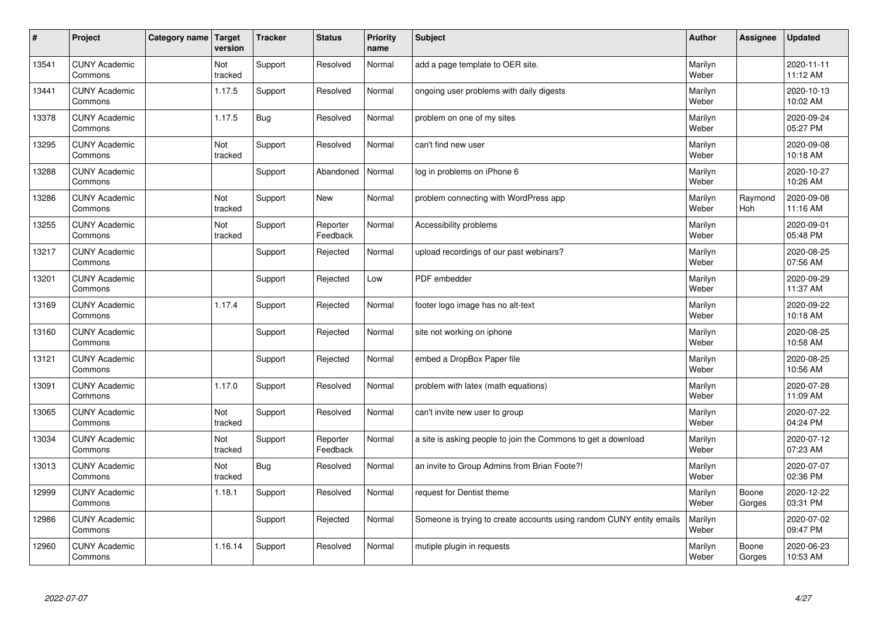| $\vert$ # | Project                         | Category name   Target | version        | <b>Tracker</b> | <b>Status</b>        | <b>Priority</b><br>name | <b>Subject</b>                                                       | <b>Author</b>    | <b>Assignee</b> | <b>Updated</b>         |
|-----------|---------------------------------|------------------------|----------------|----------------|----------------------|-------------------------|----------------------------------------------------------------------|------------------|-----------------|------------------------|
| 13541     | <b>CUNY Academic</b><br>Commons |                        | Not<br>tracked | Support        | Resolved             | Normal                  | add a page template to OER site.                                     | Marilyn<br>Weber |                 | 2020-11-11<br>11:12 AM |
| 13441     | <b>CUNY Academic</b><br>Commons |                        | 1.17.5         | Support        | Resolved             | Normal                  | ongoing user problems with daily digests                             | Marilyn<br>Weber |                 | 2020-10-13<br>10:02 AM |
| 13378     | <b>CUNY Academic</b><br>Commons |                        | 1.17.5         | <b>Bug</b>     | Resolved             | Normal                  | problem on one of my sites                                           | Marilyn<br>Weber |                 | 2020-09-24<br>05:27 PM |
| 13295     | <b>CUNY Academic</b><br>Commons |                        | Not<br>tracked | Support        | Resolved             | Normal                  | can't find new user                                                  | Marilyn<br>Weber |                 | 2020-09-08<br>10:18 AM |
| 13288     | <b>CUNY Academic</b><br>Commons |                        |                | Support        | Abandoned            | Normal                  | log in problems on iPhone 6                                          | Marilyn<br>Weber |                 | 2020-10-27<br>10:26 AM |
| 13286     | <b>CUNY Academic</b><br>Commons |                        | Not<br>tracked | Support        | <b>New</b>           | Normal                  | problem connecting with WordPress app                                | Marilyn<br>Weber | Raymond<br>Hoh  | 2020-09-08<br>11:16 AM |
| 13255     | <b>CUNY Academic</b><br>Commons |                        | Not<br>tracked | Support        | Reporter<br>Feedback | Normal                  | Accessibility problems                                               | Marilyn<br>Weber |                 | 2020-09-01<br>05:48 PM |
| 13217     | <b>CUNY Academic</b><br>Commons |                        |                | Support        | Rejected             | Normal                  | upload recordings of our past webinars?                              | Marilyn<br>Weber |                 | 2020-08-25<br>07:56 AM |
| 13201     | <b>CUNY Academic</b><br>Commons |                        |                | Support        | Rejected             | Low                     | PDF embedder                                                         | Marilyn<br>Weber |                 | 2020-09-29<br>11:37 AM |
| 13169     | <b>CUNY Academic</b><br>Commons |                        | 1.17.4         | Support        | Rejected             | Normal                  | footer logo image has no alt-text                                    | Marilyn<br>Weber |                 | 2020-09-22<br>10:18 AM |
| 13160     | <b>CUNY Academic</b><br>Commons |                        |                | Support        | Rejected             | Normal                  | site not working on iphone                                           | Marilyn<br>Weber |                 | 2020-08-25<br>10:58 AM |
| 13121     | <b>CUNY Academic</b><br>Commons |                        |                | Support        | Rejected             | Normal                  | embed a DropBox Paper file                                           | Marilyn<br>Weber |                 | 2020-08-25<br>10:56 AM |
| 13091     | <b>CUNY Academic</b><br>Commons |                        | 1.17.0         | Support        | Resolved             | Normal                  | problem with latex (math equations)                                  | Marilyn<br>Weber |                 | 2020-07-28<br>11:09 AM |
| 13065     | <b>CUNY Academic</b><br>Commons |                        | Not<br>tracked | Support        | Resolved             | Normal                  | can't invite new user to group                                       | Marilyn<br>Weber |                 | 2020-07-22<br>04:24 PM |
| 13034     | <b>CUNY Academic</b><br>Commons |                        | Not<br>tracked | Support        | Reporter<br>Feedback | Normal                  | a site is asking people to join the Commons to get a download        | Marilyn<br>Weber |                 | 2020-07-12<br>07:23 AM |
| 13013     | <b>CUNY Academic</b><br>Commons |                        | Not<br>tracked | <b>Bug</b>     | Resolved             | Normal                  | an invite to Group Admins from Brian Foote?!                         | Marilyn<br>Weber |                 | 2020-07-07<br>02:36 PM |
| 12999     | <b>CUNY Academic</b><br>Commons |                        | 1.18.1         | Support        | Resolved             | Normal                  | request for Dentist theme                                            | Marilyn<br>Weber | Boone<br>Gorges | 2020-12-22<br>03:31 PM |
| 12986     | <b>CUNY Academic</b><br>Commons |                        |                | Support        | Rejected             | Normal                  | Someone is trying to create accounts using random CUNY entity emails | Marilyn<br>Weber |                 | 2020-07-02<br>09:47 PM |
| 12960     | <b>CUNY Academic</b><br>Commons |                        | 1.16.14        | Support        | Resolved             | Normal                  | mutiple plugin in requests                                           | Marilyn<br>Weber | Boone<br>Gorges | 2020-06-23<br>10:53 AM |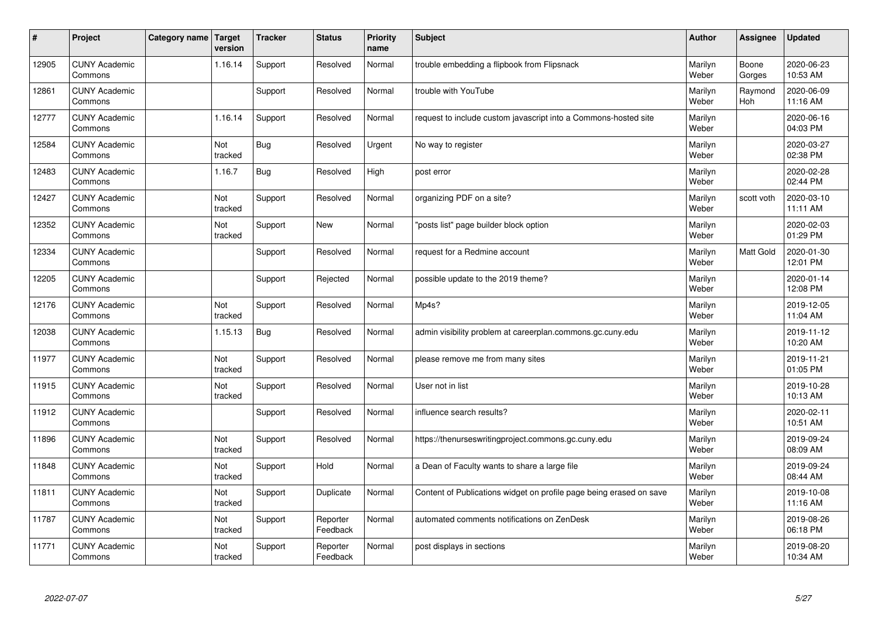| $\sharp$ | Project                         | Category name   Target | version        | <b>Tracker</b> | <b>Status</b>        | <b>Priority</b><br>name | <b>Subject</b>                                                      | <b>Author</b>    | Assignee        | Updated                |
|----------|---------------------------------|------------------------|----------------|----------------|----------------------|-------------------------|---------------------------------------------------------------------|------------------|-----------------|------------------------|
| 12905    | <b>CUNY Academic</b><br>Commons |                        | 1.16.14        | Support        | Resolved             | Normal                  | trouble embedding a flipbook from Flipsnack                         | Marilyn<br>Weber | Boone<br>Gorges | 2020-06-23<br>10:53 AM |
| 12861    | <b>CUNY Academic</b><br>Commons |                        |                | Support        | Resolved             | Normal                  | trouble with YouTube                                                | Marilyn<br>Weber | Raymond<br>Hoh  | 2020-06-09<br>11:16 AM |
| 12777    | <b>CUNY Academic</b><br>Commons |                        | 1.16.14        | Support        | Resolved             | Normal                  | request to include custom javascript into a Commons-hosted site     | Marilyn<br>Weber |                 | 2020-06-16<br>04:03 PM |
| 12584    | <b>CUNY Academic</b><br>Commons |                        | Not<br>tracked | Bug            | Resolved             | Urgent                  | No way to register                                                  | Marilyn<br>Weber |                 | 2020-03-27<br>02:38 PM |
| 12483    | <b>CUNY Academic</b><br>Commons |                        | 1.16.7         | Bug            | Resolved             | High                    | post error                                                          | Marilyn<br>Weber |                 | 2020-02-28<br>02:44 PM |
| 12427    | <b>CUNY Academic</b><br>Commons |                        | Not<br>tracked | Support        | Resolved             | Normal                  | organizing PDF on a site?                                           | Marilyn<br>Weber | scott voth      | 2020-03-10<br>11:11 AM |
| 12352    | <b>CUNY Academic</b><br>Commons |                        | Not<br>tracked | Support        | <b>New</b>           | Normal                  | posts list" page builder block option                               | Marilyn<br>Weber |                 | 2020-02-03<br>01:29 PM |
| 12334    | <b>CUNY Academic</b><br>Commons |                        |                | Support        | Resolved             | Normal                  | request for a Redmine account                                       | Marilyn<br>Weber | Matt Gold       | 2020-01-30<br>12:01 PM |
| 12205    | <b>CUNY Academic</b><br>Commons |                        |                | Support        | Rejected             | Normal                  | possible update to the 2019 theme?                                  | Marilyn<br>Weber |                 | 2020-01-14<br>12:08 PM |
| 12176    | <b>CUNY Academic</b><br>Commons |                        | Not<br>tracked | Support        | Resolved             | Normal                  | Mp4s?                                                               | Marilyn<br>Weber |                 | 2019-12-05<br>11:04 AM |
| 12038    | <b>CUNY Academic</b><br>Commons |                        | 1.15.13        | Bug            | Resolved             | Normal                  | admin visibility problem at careerplan.commons.gc.cuny.edu          | Marilyn<br>Weber |                 | 2019-11-12<br>10:20 AM |
| 11977    | <b>CUNY Academic</b><br>Commons |                        | Not<br>tracked | Support        | Resolved             | Normal                  | please remove me from many sites                                    | Marilyn<br>Weber |                 | 2019-11-21<br>01:05 PM |
| 11915    | <b>CUNY Academic</b><br>Commons |                        | Not<br>tracked | Support        | Resolved             | Normal                  | User not in list                                                    | Marilyn<br>Weber |                 | 2019-10-28<br>10:13 AM |
| 11912    | <b>CUNY Academic</b><br>Commons |                        |                | Support        | Resolved             | Normal                  | influence search results?                                           | Marilyn<br>Weber |                 | 2020-02-11<br>10:51 AM |
| 11896    | <b>CUNY Academic</b><br>Commons |                        | Not<br>tracked | Support        | Resolved             | Normal                  | https://thenurseswritingproject.commons.gc.cuny.edu                 | Marilyn<br>Weber |                 | 2019-09-24<br>08:09 AM |
| 11848    | <b>CUNY Academic</b><br>Commons |                        | Not<br>tracked | Support        | Hold                 | Normal                  | a Dean of Faculty wants to share a large file                       | Marilyn<br>Weber |                 | 2019-09-24<br>08:44 AM |
| 11811    | <b>CUNY Academic</b><br>Commons |                        | Not<br>tracked | Support        | Duplicate            | Normal                  | Content of Publications widget on profile page being erased on save | Marilyn<br>Weber |                 | 2019-10-08<br>11:16 AM |
| 11787    | <b>CUNY Academic</b><br>Commons |                        | Not<br>tracked | Support        | Reporter<br>Feedback | Normal                  | automated comments notifications on ZenDesk                         | Marilyn<br>Weber |                 | 2019-08-26<br>06:18 PM |
| 11771    | <b>CUNY Academic</b><br>Commons |                        | Not<br>tracked | Support        | Reporter<br>Feedback | Normal                  | post displays in sections                                           | Marilyn<br>Weber |                 | 2019-08-20<br>10:34 AM |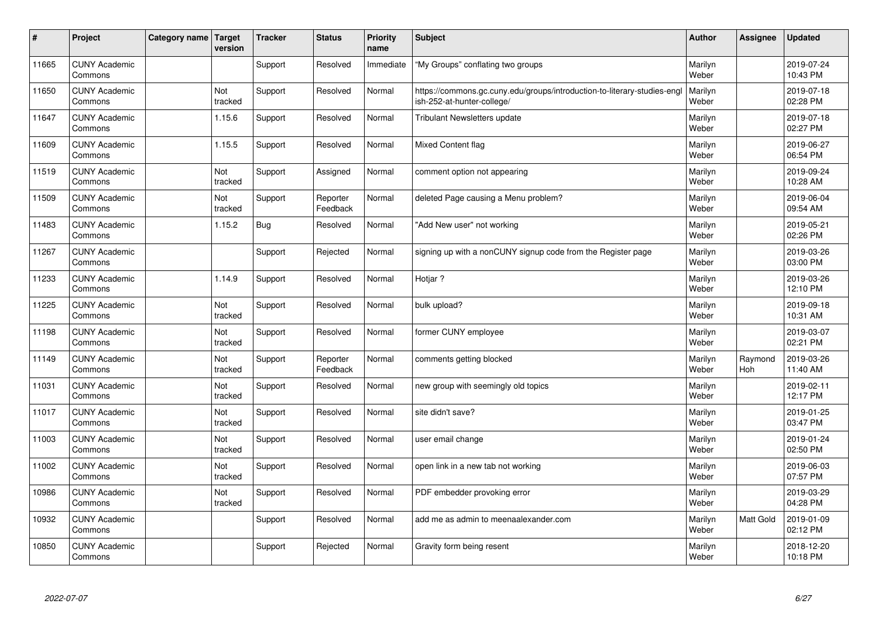| #     | Project                         | Category name   Target | version        | <b>Tracker</b> | <b>Status</b>        | <b>Priority</b><br>name | <b>Subject</b>                                                                                         | <b>Author</b>    | Assignee              | <b>Updated</b>         |
|-------|---------------------------------|------------------------|----------------|----------------|----------------------|-------------------------|--------------------------------------------------------------------------------------------------------|------------------|-----------------------|------------------------|
| 11665 | <b>CUNY Academic</b><br>Commons |                        |                | Support        | Resolved             | Immediate               | "My Groups" conflating two groups                                                                      | Marilyn<br>Weber |                       | 2019-07-24<br>10:43 PM |
| 11650 | <b>CUNY Academic</b><br>Commons |                        | Not<br>tracked | Support        | Resolved             | Normal                  | https://commons.gc.cuny.edu/groups/introduction-to-literary-studies-engl<br>ish-252-at-hunter-college/ | Marilyn<br>Weber |                       | 2019-07-18<br>02:28 PM |
| 11647 | <b>CUNY Academic</b><br>Commons |                        | 1.15.6         | Support        | Resolved             | Normal                  | <b>Tribulant Newsletters update</b>                                                                    | Marilyn<br>Weber |                       | 2019-07-18<br>02:27 PM |
| 11609 | <b>CUNY Academic</b><br>Commons |                        | 1.15.5         | Support        | Resolved             | Normal                  | <b>Mixed Content flag</b>                                                                              | Marilyn<br>Weber |                       | 2019-06-27<br>06:54 PM |
| 11519 | <b>CUNY Academic</b><br>Commons |                        | Not<br>tracked | Support        | Assigned             | Normal                  | comment option not appearing                                                                           | Marilyn<br>Weber |                       | 2019-09-24<br>10:28 AM |
| 11509 | <b>CUNY Academic</b><br>Commons |                        | Not<br>tracked | Support        | Reporter<br>Feedback | Normal                  | deleted Page causing a Menu problem?                                                                   | Marilyn<br>Weber |                       | 2019-06-04<br>09:54 AM |
| 11483 | <b>CUNY Academic</b><br>Commons |                        | 1.15.2         | <b>Bug</b>     | Resolved             | Normal                  | 'Add New user" not working                                                                             | Marilyn<br>Weber |                       | 2019-05-21<br>02:26 PM |
| 11267 | <b>CUNY Academic</b><br>Commons |                        |                | Support        | Rejected             | Normal                  | signing up with a nonCUNY signup code from the Register page                                           | Marilyn<br>Weber |                       | 2019-03-26<br>03:00 PM |
| 11233 | <b>CUNY Academic</b><br>Commons |                        | 1.14.9         | Support        | Resolved             | Normal                  | Hotjar?                                                                                                | Marilyn<br>Weber |                       | 2019-03-26<br>12:10 PM |
| 11225 | <b>CUNY Academic</b><br>Commons |                        | Not<br>tracked | Support        | Resolved             | Normal                  | bulk upload?                                                                                           | Marilyn<br>Weber |                       | 2019-09-18<br>10:31 AM |
| 11198 | <b>CUNY Academic</b><br>Commons |                        | Not<br>tracked | Support        | Resolved             | Normal                  | former CUNY employee                                                                                   | Marilyn<br>Weber |                       | 2019-03-07<br>02:21 PM |
| 11149 | <b>CUNY Academic</b><br>Commons |                        | Not<br>tracked | Support        | Reporter<br>Feedback | Normal                  | comments getting blocked                                                                               | Marilyn<br>Weber | Raymond<br><b>Hoh</b> | 2019-03-26<br>11:40 AM |
| 11031 | <b>CUNY Academic</b><br>Commons |                        | Not<br>tracked | Support        | Resolved             | Normal                  | new group with seemingly old topics                                                                    | Marilyn<br>Weber |                       | 2019-02-11<br>12:17 PM |
| 11017 | <b>CUNY Academic</b><br>Commons |                        | Not<br>tracked | Support        | Resolved             | Normal                  | site didn't save?                                                                                      | Marilyn<br>Weber |                       | 2019-01-25<br>03:47 PM |
| 11003 | <b>CUNY Academic</b><br>Commons |                        | Not<br>tracked | Support        | Resolved             | Normal                  | user email change                                                                                      | Marilyn<br>Weber |                       | 2019-01-24<br>02:50 PM |
| 11002 | <b>CUNY Academic</b><br>Commons |                        | Not<br>tracked | Support        | Resolved             | Normal                  | open link in a new tab not working                                                                     | Marilyn<br>Weber |                       | 2019-06-03<br>07:57 PM |
| 10986 | <b>CUNY Academic</b><br>Commons |                        | Not<br>tracked | Support        | Resolved             | Normal                  | PDF embedder provoking error                                                                           | Marilyn<br>Weber |                       | 2019-03-29<br>04:28 PM |
| 10932 | <b>CUNY Academic</b><br>Commons |                        |                | Support        | Resolved             | Normal                  | add me as admin to meenaalexander.com                                                                  | Marilyn<br>Weber | Matt Gold             | 2019-01-09<br>02:12 PM |
| 10850 | <b>CUNY Academic</b><br>Commons |                        |                | Support        | Rejected             | Normal                  | Gravity form being resent                                                                              | Marilyn<br>Weber |                       | 2018-12-20<br>10:18 PM |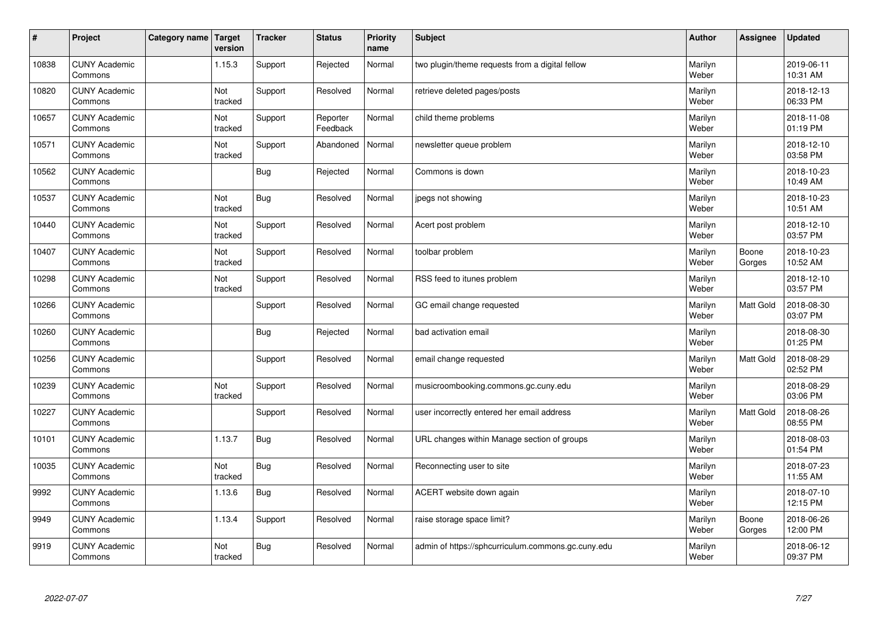| #     | Project                         | Category name   Target | version        | <b>Tracker</b> | <b>Status</b>        | <b>Priority</b><br>name | <b>Subject</b>                                     | <b>Author</b>    | Assignee         | <b>Updated</b>         |
|-------|---------------------------------|------------------------|----------------|----------------|----------------------|-------------------------|----------------------------------------------------|------------------|------------------|------------------------|
| 10838 | <b>CUNY Academic</b><br>Commons |                        | 1.15.3         | Support        | Rejected             | Normal                  | two plugin/theme requests from a digital fellow    | Marilyn<br>Weber |                  | 2019-06-11<br>10:31 AM |
| 10820 | <b>CUNY Academic</b><br>Commons |                        | Not<br>tracked | Support        | Resolved             | Normal                  | retrieve deleted pages/posts                       | Marilyn<br>Weber |                  | 2018-12-13<br>06:33 PM |
| 10657 | <b>CUNY Academic</b><br>Commons |                        | Not<br>tracked | Support        | Reporter<br>Feedback | Normal                  | child theme problems                               | Marilyn<br>Weber |                  | 2018-11-08<br>01:19 PM |
| 10571 | <b>CUNY Academic</b><br>Commons |                        | Not<br>tracked | Support        | Abandoned            | Normal                  | newsletter queue problem                           | Marilyn<br>Weber |                  | 2018-12-10<br>03:58 PM |
| 10562 | <b>CUNY Academic</b><br>Commons |                        |                | <b>Bug</b>     | Rejected             | Normal                  | Commons is down                                    | Marilyn<br>Weber |                  | 2018-10-23<br>10:49 AM |
| 10537 | <b>CUNY Academic</b><br>Commons |                        | Not<br>tracked | <b>Bug</b>     | Resolved             | Normal                  | jpegs not showing                                  | Marilyn<br>Weber |                  | 2018-10-23<br>10:51 AM |
| 10440 | <b>CUNY Academic</b><br>Commons |                        | Not<br>tracked | Support        | Resolved             | Normal                  | Acert post problem                                 | Marilyn<br>Weber |                  | 2018-12-10<br>03:57 PM |
| 10407 | <b>CUNY Academic</b><br>Commons |                        | Not<br>tracked | Support        | Resolved             | Normal                  | toolbar problem                                    | Marilyn<br>Weber | Boone<br>Gorges  | 2018-10-23<br>10:52 AM |
| 10298 | <b>CUNY Academic</b><br>Commons |                        | Not<br>tracked | Support        | Resolved             | Normal                  | RSS feed to itunes problem                         | Marilyn<br>Weber |                  | 2018-12-10<br>03:57 PM |
| 10266 | <b>CUNY Academic</b><br>Commons |                        |                | Support        | Resolved             | Normal                  | GC email change requested                          | Marilyn<br>Weber | <b>Matt Gold</b> | 2018-08-30<br>03:07 PM |
| 10260 | <b>CUNY Academic</b><br>Commons |                        |                | Bug            | Rejected             | Normal                  | bad activation email                               | Marilyn<br>Weber |                  | 2018-08-30<br>01:25 PM |
| 10256 | <b>CUNY Academic</b><br>Commons |                        |                | Support        | Resolved             | Normal                  | email change requested                             | Marilyn<br>Weber | Matt Gold        | 2018-08-29<br>02:52 PM |
| 10239 | <b>CUNY Academic</b><br>Commons |                        | Not<br>tracked | Support        | Resolved             | Normal                  | musicroombooking.commons.gc.cuny.edu               | Marilyn<br>Weber |                  | 2018-08-29<br>03:06 PM |
| 10227 | <b>CUNY Academic</b><br>Commons |                        |                | Support        | Resolved             | Normal                  | user incorrectly entered her email address         | Marilyn<br>Weber | Matt Gold        | 2018-08-26<br>08:55 PM |
| 10101 | <b>CUNY Academic</b><br>Commons |                        | 1.13.7         | <b>Bug</b>     | Resolved             | Normal                  | URL changes within Manage section of groups        | Marilyn<br>Weber |                  | 2018-08-03<br>01:54 PM |
| 10035 | <b>CUNY Academic</b><br>Commons |                        | Not<br>tracked | Bug            | Resolved             | Normal                  | Reconnecting user to site                          | Marilyn<br>Weber |                  | 2018-07-23<br>11:55 AM |
| 9992  | <b>CUNY Academic</b><br>Commons |                        | 1.13.6         | <b>Bug</b>     | Resolved             | Normal                  | ACERT website down again                           | Marilyn<br>Weber |                  | 2018-07-10<br>12:15 PM |
| 9949  | <b>CUNY Academic</b><br>Commons |                        | 1.13.4         | Support        | Resolved             | Normal                  | raise storage space limit?                         | Marilyn<br>Weber | Boone<br>Gorges  | 2018-06-26<br>12:00 PM |
| 9919  | <b>CUNY Academic</b><br>Commons |                        | Not<br>tracked | Bug            | Resolved             | Normal                  | admin of https://sphcurriculum.commons.gc.cuny.edu | Marilyn<br>Weber |                  | 2018-06-12<br>09:37 PM |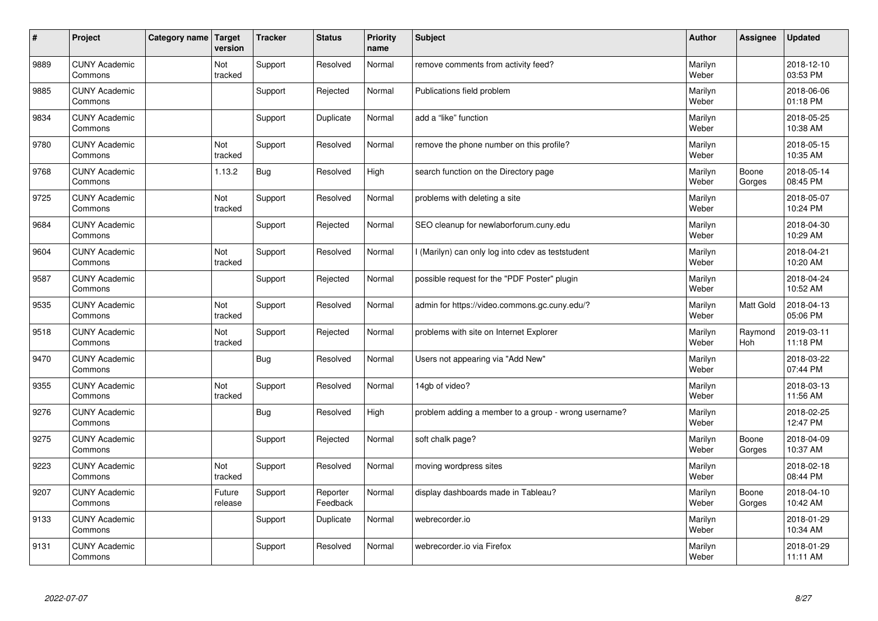| #    | Project                         | Category name   Target | version               | <b>Tracker</b> | <b>Status</b>        | <b>Priority</b><br>name | <b>Subject</b>                                       | <b>Author</b>    | Assignee              | <b>Updated</b>         |
|------|---------------------------------|------------------------|-----------------------|----------------|----------------------|-------------------------|------------------------------------------------------|------------------|-----------------------|------------------------|
| 9889 | <b>CUNY Academic</b><br>Commons |                        | Not<br>tracked        | Support        | Resolved             | Normal                  | remove comments from activity feed?                  | Marilyn<br>Weber |                       | 2018-12-10<br>03:53 PM |
| 9885 | <b>CUNY Academic</b><br>Commons |                        |                       | Support        | Rejected             | Normal                  | Publications field problem                           | Marilyn<br>Weber |                       | 2018-06-06<br>01:18 PM |
| 9834 | <b>CUNY Academic</b><br>Commons |                        |                       | Support        | Duplicate            | Normal                  | add a "like" function                                | Marilyn<br>Weber |                       | 2018-05-25<br>10:38 AM |
| 9780 | <b>CUNY Academic</b><br>Commons |                        | <b>Not</b><br>tracked | Support        | Resolved             | Normal                  | remove the phone number on this profile?             | Marilyn<br>Weber |                       | 2018-05-15<br>10:35 AM |
| 9768 | <b>CUNY Academic</b><br>Commons |                        | 1.13.2                | Bug            | Resolved             | High                    | search function on the Directory page                | Marilyn<br>Weber | Boone<br>Gorges       | 2018-05-14<br>08:45 PM |
| 9725 | <b>CUNY Academic</b><br>Commons |                        | Not<br>tracked        | Support        | Resolved             | Normal                  | problems with deleting a site                        | Marilyn<br>Weber |                       | 2018-05-07<br>10:24 PM |
| 9684 | <b>CUNY Academic</b><br>Commons |                        |                       | Support        | Rejected             | Normal                  | SEO cleanup for newlaborforum.cuny.edu               | Marilyn<br>Weber |                       | 2018-04-30<br>10:29 AM |
| 9604 | <b>CUNY Academic</b><br>Commons |                        | Not<br>tracked        | Support        | Resolved             | Normal                  | I (Marilyn) can only log into cdev as teststudent    | Marilyn<br>Weber |                       | 2018-04-21<br>10:20 AM |
| 9587 | <b>CUNY Academic</b><br>Commons |                        |                       | Support        | Rejected             | Normal                  | possible request for the "PDF Poster" plugin         | Marilyn<br>Weber |                       | 2018-04-24<br>10:52 AM |
| 9535 | <b>CUNY Academic</b><br>Commons |                        | Not<br>tracked        | Support        | Resolved             | Normal                  | admin for https://video.commons.gc.cuny.edu/?        | Marilyn<br>Weber | <b>Matt Gold</b>      | 2018-04-13<br>05:06 PM |
| 9518 | <b>CUNY Academic</b><br>Commons |                        | Not<br>tracked        | Support        | Rejected             | Normal                  | problems with site on Internet Explorer              | Marilyn<br>Weber | Raymond<br><b>Hoh</b> | 2019-03-11<br>11:18 PM |
| 9470 | <b>CUNY Academic</b><br>Commons |                        |                       | <b>Bug</b>     | Resolved             | Normal                  | Users not appearing via "Add New"                    | Marilyn<br>Weber |                       | 2018-03-22<br>07:44 PM |
| 9355 | <b>CUNY Academic</b><br>Commons |                        | Not<br>tracked        | Support        | Resolved             | Normal                  | 14gb of video?                                       | Marilyn<br>Weber |                       | 2018-03-13<br>11:56 AM |
| 9276 | <b>CUNY Academic</b><br>Commons |                        |                       | <b>Bug</b>     | Resolved             | High                    | problem adding a member to a group - wrong username? | Marilyn<br>Weber |                       | 2018-02-25<br>12:47 PM |
| 9275 | <b>CUNY Academic</b><br>Commons |                        |                       | Support        | Rejected             | Normal                  | soft chalk page?                                     | Marilyn<br>Weber | Boone<br>Gorges       | 2018-04-09<br>10:37 AM |
| 9223 | <b>CUNY Academic</b><br>Commons |                        | Not<br>tracked        | Support        | Resolved             | Normal                  | moving wordpress sites                               | Marilyn<br>Weber |                       | 2018-02-18<br>08:44 PM |
| 9207 | <b>CUNY Academic</b><br>Commons |                        | Future<br>release     | Support        | Reporter<br>Feedback | Normal                  | display dashboards made in Tableau?                  | Marilyn<br>Weber | Boone<br>Gorges       | 2018-04-10<br>10:42 AM |
| 9133 | <b>CUNY Academic</b><br>Commons |                        |                       | Support        | Duplicate            | Normal                  | webrecorder.io                                       | Marilyn<br>Weber |                       | 2018-01-29<br>10:34 AM |
| 9131 | <b>CUNY Academic</b><br>Commons |                        |                       | Support        | Resolved             | Normal                  | webrecorder.io via Firefox                           | Marilyn<br>Weber |                       | 2018-01-29<br>11:11 AM |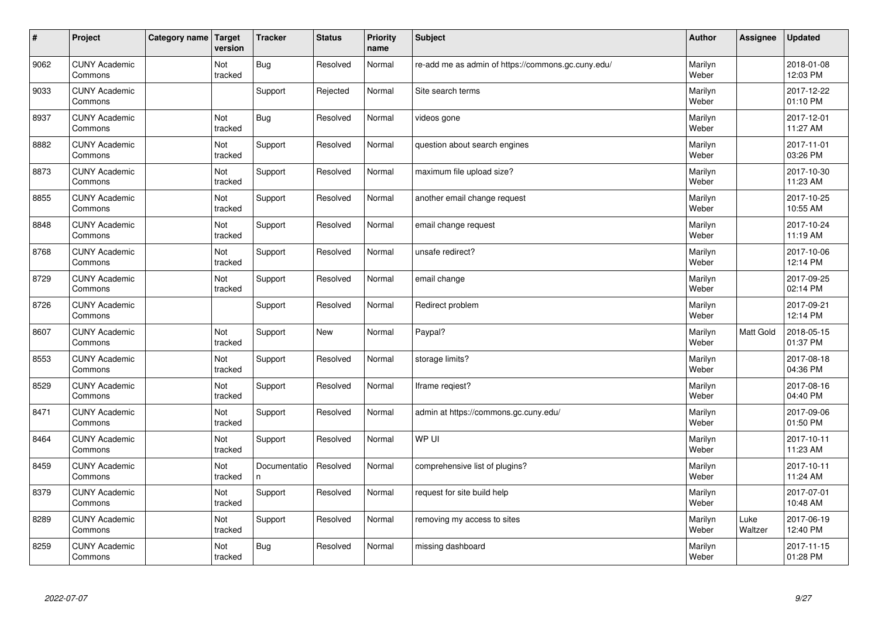| $\vert$ # | Project                         | Category name   Target | version        | <b>Tracker</b>     | <b>Status</b> | <b>Priority</b><br>name | <b>Subject</b>                                     | <b>Author</b>    | <b>Assignee</b> | <b>Updated</b>         |
|-----------|---------------------------------|------------------------|----------------|--------------------|---------------|-------------------------|----------------------------------------------------|------------------|-----------------|------------------------|
| 9062      | <b>CUNY Academic</b><br>Commons |                        | Not<br>tracked | <b>Bug</b>         | Resolved      | Normal                  | re-add me as admin of https://commons.gc.cuny.edu/ | Marilyn<br>Weber |                 | 2018-01-08<br>12:03 PM |
| 9033      | <b>CUNY Academic</b><br>Commons |                        |                | Support            | Rejected      | Normal                  | Site search terms                                  | Marilyn<br>Weber |                 | 2017-12-22<br>01:10 PM |
| 8937      | <b>CUNY Academic</b><br>Commons |                        | Not<br>tracked | <b>Bug</b>         | Resolved      | Normal                  | videos gone                                        | Marilyn<br>Weber |                 | 2017-12-01<br>11:27 AM |
| 8882      | <b>CUNY Academic</b><br>Commons |                        | Not<br>tracked | Support            | Resolved      | Normal                  | question about search engines                      | Marilyn<br>Weber |                 | 2017-11-01<br>03:26 PM |
| 8873      | <b>CUNY Academic</b><br>Commons |                        | Not<br>tracked | Support            | Resolved      | Normal                  | maximum file upload size?                          | Marilyn<br>Weber |                 | 2017-10-30<br>11:23 AM |
| 8855      | <b>CUNY Academic</b><br>Commons |                        | Not<br>tracked | Support            | Resolved      | Normal                  | another email change request                       | Marilyn<br>Weber |                 | 2017-10-25<br>10:55 AM |
| 8848      | <b>CUNY Academic</b><br>Commons |                        | Not<br>tracked | Support            | Resolved      | Normal                  | email change request                               | Marilyn<br>Weber |                 | 2017-10-24<br>11:19 AM |
| 8768      | <b>CUNY Academic</b><br>Commons |                        | Not<br>tracked | Support            | Resolved      | Normal                  | unsafe redirect?                                   | Marilyn<br>Weber |                 | 2017-10-06<br>12:14 PM |
| 8729      | <b>CUNY Academic</b><br>Commons |                        | Not<br>tracked | Support            | Resolved      | Normal                  | email change                                       | Marilyn<br>Weber |                 | 2017-09-25<br>02:14 PM |
| 8726      | <b>CUNY Academic</b><br>Commons |                        |                | Support            | Resolved      | Normal                  | Redirect problem                                   | Marilyn<br>Weber |                 | 2017-09-21<br>12:14 PM |
| 8607      | <b>CUNY Academic</b><br>Commons |                        | Not<br>tracked | Support            | <b>New</b>    | Normal                  | Paypal?                                            | Marilyn<br>Weber | Matt Gold       | 2018-05-15<br>01:37 PM |
| 8553      | <b>CUNY Academic</b><br>Commons |                        | Not<br>tracked | Support            | Resolved      | Normal                  | storage limits?                                    | Marilyn<br>Weber |                 | 2017-08-18<br>04:36 PM |
| 8529      | <b>CUNY Academic</b><br>Commons |                        | Not<br>tracked | Support            | Resolved      | Normal                  | Iframe reqiest?                                    | Marilyn<br>Weber |                 | 2017-08-16<br>04:40 PM |
| 8471      | <b>CUNY Academic</b><br>Commons |                        | Not<br>tracked | Support            | Resolved      | Normal                  | admin at https://commons.gc.cuny.edu/              | Marilyn<br>Weber |                 | 2017-09-06<br>01:50 PM |
| 8464      | <b>CUNY Academic</b><br>Commons |                        | Not<br>tracked | Support            | Resolved      | Normal                  | WP UI                                              | Marilyn<br>Weber |                 | 2017-10-11<br>11:23 AM |
| 8459      | <b>CUNY Academic</b><br>Commons |                        | Not<br>tracked | Documentatio<br>n. | Resolved      | Normal                  | comprehensive list of plugins?                     | Marilyn<br>Weber |                 | 2017-10-11<br>11:24 AM |
| 8379      | <b>CUNY Academic</b><br>Commons |                        | Not<br>tracked | Support            | Resolved      | Normal                  | request for site build help                        | Marilyn<br>Weber |                 | 2017-07-01<br>10:48 AM |
| 8289      | <b>CUNY Academic</b><br>Commons |                        | Not<br>tracked | Support            | Resolved      | Normal                  | removing my access to sites                        | Marilyn<br>Weber | Luke<br>Waltzer | 2017-06-19<br>12:40 PM |
| 8259      | <b>CUNY Academic</b><br>Commons |                        | Not<br>tracked | <b>Bug</b>         | Resolved      | Normal                  | missing dashboard                                  | Marilyn<br>Weber |                 | 2017-11-15<br>01:28 PM |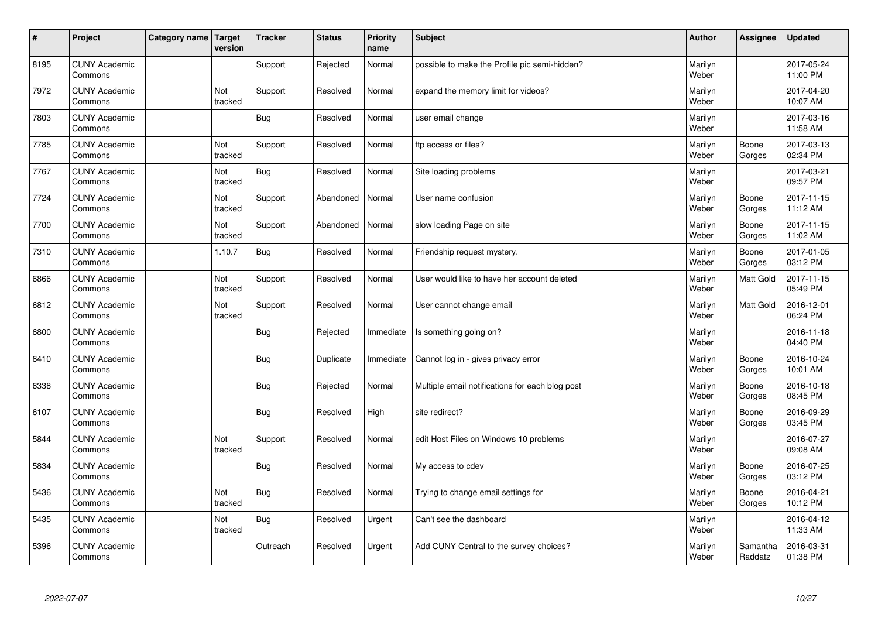| $\vert$ # | Project                         | Category name   Target | version               | <b>Tracker</b> | <b>Status</b> | <b>Priority</b><br>name | <b>Subject</b>                                  | <b>Author</b>    | Assignee            | <b>Updated</b>         |
|-----------|---------------------------------|------------------------|-----------------------|----------------|---------------|-------------------------|-------------------------------------------------|------------------|---------------------|------------------------|
| 8195      | <b>CUNY Academic</b><br>Commons |                        |                       | Support        | Rejected      | Normal                  | possible to make the Profile pic semi-hidden?   | Marilyn<br>Weber |                     | 2017-05-24<br>11:00 PM |
| 7972      | <b>CUNY Academic</b><br>Commons |                        | Not<br>tracked        | Support        | Resolved      | Normal                  | expand the memory limit for videos?             | Marilyn<br>Weber |                     | 2017-04-20<br>10:07 AM |
| 7803      | <b>CUNY Academic</b><br>Commons |                        |                       | Bug            | Resolved      | Normal                  | user email change                               | Marilyn<br>Weber |                     | 2017-03-16<br>11:58 AM |
| 7785      | <b>CUNY Academic</b><br>Commons |                        | <b>Not</b><br>tracked | Support        | Resolved      | Normal                  | ftp access or files?                            | Marilyn<br>Weber | Boone<br>Gorges     | 2017-03-13<br>02:34 PM |
| 7767      | <b>CUNY Academic</b><br>Commons |                        | Not<br>tracked        | <b>Bug</b>     | Resolved      | Normal                  | Site loading problems                           | Marilyn<br>Weber |                     | 2017-03-21<br>09:57 PM |
| 7724      | <b>CUNY Academic</b><br>Commons |                        | Not<br>tracked        | Support        | Abandoned     | Normal                  | User name confusion                             | Marilyn<br>Weber | Boone<br>Gorges     | 2017-11-15<br>11:12 AM |
| 7700      | <b>CUNY Academic</b><br>Commons |                        | Not<br>tracked        | Support        | Abandoned     | Normal                  | slow loading Page on site                       | Marilyn<br>Weber | Boone<br>Gorges     | 2017-11-15<br>11:02 AM |
| 7310      | <b>CUNY Academic</b><br>Commons |                        | 1.10.7                | <b>Bug</b>     | Resolved      | Normal                  | Friendship request mystery.                     | Marilyn<br>Weber | Boone<br>Gorges     | 2017-01-05<br>03:12 PM |
| 6866      | <b>CUNY Academic</b><br>Commons |                        | Not<br>tracked        | Support        | Resolved      | Normal                  | User would like to have her account deleted     | Marilyn<br>Weber | Matt Gold           | 2017-11-15<br>05:49 PM |
| 6812      | <b>CUNY Academic</b><br>Commons |                        | Not<br>tracked        | Support        | Resolved      | Normal                  | User cannot change email                        | Marilyn<br>Weber | Matt Gold           | 2016-12-01<br>06:24 PM |
| 6800      | <b>CUNY Academic</b><br>Commons |                        |                       | <b>Bug</b>     | Rejected      | Immediate               | Is something going on?                          | Marilyn<br>Weber |                     | 2016-11-18<br>04:40 PM |
| 6410      | <b>CUNY Academic</b><br>Commons |                        |                       | Bug            | Duplicate     | Immediate               | Cannot log in - gives privacy error             | Marilyn<br>Weber | Boone<br>Gorges     | 2016-10-24<br>10:01 AM |
| 6338      | <b>CUNY Academic</b><br>Commons |                        |                       | Bug            | Rejected      | Normal                  | Multiple email notifications for each blog post | Marilyn<br>Weber | Boone<br>Gorges     | 2016-10-18<br>08:45 PM |
| 6107      | <b>CUNY Academic</b><br>Commons |                        |                       | Bug            | Resolved      | High                    | site redirect?                                  | Marilyn<br>Weber | Boone<br>Gorges     | 2016-09-29<br>03:45 PM |
| 5844      | <b>CUNY Academic</b><br>Commons |                        | Not<br>tracked        | Support        | Resolved      | Normal                  | edit Host Files on Windows 10 problems          | Marilyn<br>Weber |                     | 2016-07-27<br>09:08 AM |
| 5834      | <b>CUNY Academic</b><br>Commons |                        |                       | Bug            | Resolved      | Normal                  | My access to cdev                               | Marilyn<br>Weber | Boone<br>Gorges     | 2016-07-25<br>03:12 PM |
| 5436      | <b>CUNY Academic</b><br>Commons |                        | Not<br>tracked        | <b>Bug</b>     | Resolved      | Normal                  | Trying to change email settings for             | Marilyn<br>Weber | Boone<br>Gorges     | 2016-04-21<br>10:12 PM |
| 5435      | <b>CUNY Academic</b><br>Commons |                        | Not<br>tracked        | <b>Bug</b>     | Resolved      | Urgent                  | Can't see the dashboard                         | Marilyn<br>Weber |                     | 2016-04-12<br>11:33 AM |
| 5396      | <b>CUNY Academic</b><br>Commons |                        |                       | Outreach       | Resolved      | Urgent                  | Add CUNY Central to the survey choices?         | Marilyn<br>Weber | Samantha<br>Raddatz | 2016-03-31<br>01:38 PM |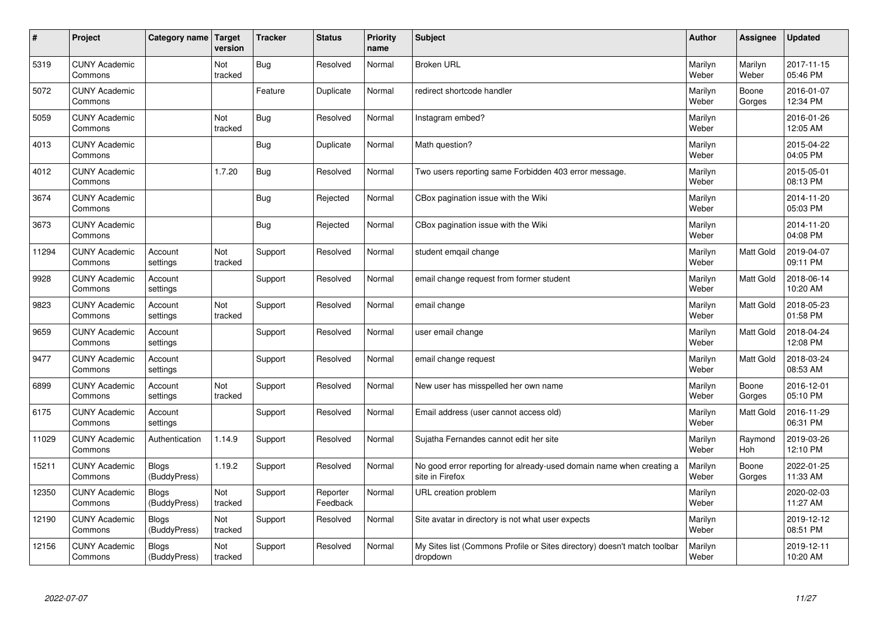| $\sharp$ | Project                         | Category name   Target       | version        | <b>Tracker</b> | <b>Status</b>        | <b>Priority</b><br>name | <b>Subject</b>                                                                          | <b>Author</b>    | Assignee         | <b>Updated</b>         |
|----------|---------------------------------|------------------------------|----------------|----------------|----------------------|-------------------------|-----------------------------------------------------------------------------------------|------------------|------------------|------------------------|
| 5319     | <b>CUNY Academic</b><br>Commons |                              | Not<br>tracked | Bug            | Resolved             | Normal                  | <b>Broken URL</b>                                                                       | Marilyn<br>Weber | Marilyn<br>Weber | 2017-11-15<br>05:46 PM |
| 5072     | <b>CUNY Academic</b><br>Commons |                              |                | Feature        | Duplicate            | Normal                  | redirect shortcode handler                                                              | Marilyn<br>Weber | Boone<br>Gorges  | 2016-01-07<br>12:34 PM |
| 5059     | <b>CUNY Academic</b><br>Commons |                              | Not<br>tracked | <b>Bug</b>     | Resolved             | Normal                  | Instagram embed?                                                                        | Marilyn<br>Weber |                  | 2016-01-26<br>12:05 AM |
| 4013     | <b>CUNY Academic</b><br>Commons |                              |                | Bug            | Duplicate            | Normal                  | Math question?                                                                          | Marilyn<br>Weber |                  | 2015-04-22<br>04:05 PM |
| 4012     | <b>CUNY Academic</b><br>Commons |                              | 1.7.20         | Bug            | Resolved             | Normal                  | Two users reporting same Forbidden 403 error message.                                   | Marilyn<br>Weber |                  | 2015-05-01<br>08:13 PM |
| 3674     | <b>CUNY Academic</b><br>Commons |                              |                | Bug            | Rejected             | Normal                  | CBox pagination issue with the Wiki                                                     | Marilyn<br>Weber |                  | 2014-11-20<br>05:03 PM |
| 3673     | <b>CUNY Academic</b><br>Commons |                              |                | Bug            | Rejected             | Normal                  | CBox pagination issue with the Wiki                                                     | Marilyn<br>Weber |                  | 2014-11-20<br>04:08 PM |
| 11294    | <b>CUNY Academic</b><br>Commons | Account<br>settings          | Not<br>tracked | Support        | Resolved             | Normal                  | student emqail change                                                                   | Marilyn<br>Weber | Matt Gold        | 2019-04-07<br>09:11 PM |
| 9928     | <b>CUNY Academic</b><br>Commons | Account<br>settings          |                | Support        | Resolved             | Normal                  | email change request from former student                                                | Marilyn<br>Weber | <b>Matt Gold</b> | 2018-06-14<br>10:20 AM |
| 9823     | <b>CUNY Academic</b><br>Commons | Account<br>settings          | Not<br>tracked | Support        | Resolved             | Normal                  | email change                                                                            | Marilyn<br>Weber | <b>Matt Gold</b> | 2018-05-23<br>01:58 PM |
| 9659     | <b>CUNY Academic</b><br>Commons | Account<br>settings          |                | Support        | Resolved             | Normal                  | user email change                                                                       | Marilyn<br>Weber | <b>Matt Gold</b> | 2018-04-24<br>12:08 PM |
| 9477     | <b>CUNY Academic</b><br>Commons | Account<br>settings          |                | Support        | Resolved             | Normal                  | email change request                                                                    | Marilyn<br>Weber | <b>Matt Gold</b> | 2018-03-24<br>08:53 AM |
| 6899     | <b>CUNY Academic</b><br>Commons | Account<br>settings          | Not<br>tracked | Support        | Resolved             | Normal                  | New user has misspelled her own name                                                    | Marilyn<br>Weber | Boone<br>Gorges  | 2016-12-01<br>05:10 PM |
| 6175     | <b>CUNY Academic</b><br>Commons | Account<br>settings          |                | Support        | Resolved             | Normal                  | Email address (user cannot access old)                                                  | Marilyn<br>Weber | <b>Matt Gold</b> | 2016-11-29<br>06:31 PM |
| 11029    | <b>CUNY Academic</b><br>Commons | Authentication               | 1.14.9         | Support        | Resolved             | Normal                  | Sujatha Fernandes cannot edit her site                                                  | Marilyn<br>Weber | Raymond<br>Hoh   | 2019-03-26<br>12:10 PM |
| 15211    | <b>CUNY Academic</b><br>Commons | <b>Blogs</b><br>(BuddyPress) | 1.19.2         | Support        | Resolved             | Normal                  | No good error reporting for already-used domain name when creating a<br>site in Firefox | Marilyn<br>Weber | Boone<br>Gorges  | 2022-01-25<br>11:33 AM |
| 12350    | <b>CUNY Academic</b><br>Commons | <b>Blogs</b><br>(BuddyPress) | Not<br>tracked | Support        | Reporter<br>Feedback | Normal                  | URL creation problem                                                                    | Marilyn<br>Weber |                  | 2020-02-03<br>11:27 AM |
| 12190    | <b>CUNY Academic</b><br>Commons | <b>Blogs</b><br>(BuddyPress) | Not<br>tracked | Support        | Resolved             | Normal                  | Site avatar in directory is not what user expects                                       | Marilyn<br>Weber |                  | 2019-12-12<br>08:51 PM |
| 12156    | <b>CUNY Academic</b><br>Commons | <b>Blogs</b><br>(BuddyPress) | Not<br>tracked | Support        | Resolved             | Normal                  | My Sites list (Commons Profile or Sites directory) doesn't match toolbar<br>dropdown    | Marilyn<br>Weber |                  | 2019-12-11<br>10:20 AM |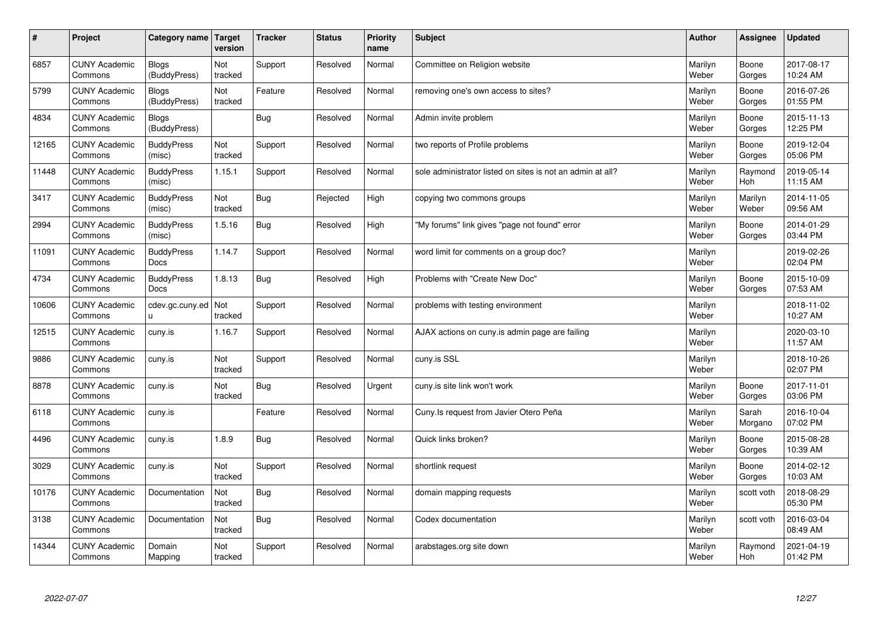| $\sharp$ | Project                         | Category name   Target       | version        | <b>Tracker</b> | <b>Status</b> | <b>Priority</b><br>name | <b>Subject</b>                                             | <b>Author</b>    | Assignee         | <b>Updated</b>         |
|----------|---------------------------------|------------------------------|----------------|----------------|---------------|-------------------------|------------------------------------------------------------|------------------|------------------|------------------------|
| 6857     | <b>CUNY Academic</b><br>Commons | <b>Blogs</b><br>(BuddyPress) | Not<br>tracked | Support        | Resolved      | Normal                  | Committee on Religion website                              | Marilyn<br>Weber | Boone<br>Gorges  | 2017-08-17<br>10:24 AM |
| 5799     | <b>CUNY Academic</b><br>Commons | Blogs<br>(BuddyPress)        | Not<br>tracked | Feature        | Resolved      | Normal                  | removing one's own access to sites?                        | Marilyn<br>Weber | Boone<br>Gorges  | 2016-07-26<br>01:55 PM |
| 4834     | <b>CUNY Academic</b><br>Commons | <b>Blogs</b><br>(BuddyPress) |                | Bug            | Resolved      | Normal                  | Admin invite problem                                       | Marilyn<br>Weber | Boone<br>Gorges  | 2015-11-13<br>12:25 PM |
| 12165    | <b>CUNY Academic</b><br>Commons | <b>BuddyPress</b><br>(misc)  | Not<br>tracked | Support        | Resolved      | Normal                  | two reports of Profile problems                            | Marilyn<br>Weber | Boone<br>Gorges  | 2019-12-04<br>05:06 PM |
| 11448    | <b>CUNY Academic</b><br>Commons | <b>BuddyPress</b><br>(misc)  | 1.15.1         | Support        | Resolved      | Normal                  | sole administrator listed on sites is not an admin at all? | Marilyn<br>Weber | Raymond<br>Hoh   | 2019-05-14<br>11:15 AM |
| 3417     | <b>CUNY Academic</b><br>Commons | <b>BuddyPress</b><br>(misc)  | Not<br>tracked | Bug            | Rejected      | High                    | copying two commons groups                                 | Marilyn<br>Weber | Marilyn<br>Weber | 2014-11-05<br>09:56 AM |
| 2994     | <b>CUNY Academic</b><br>Commons | <b>BuddyPress</b><br>(misc)  | 1.5.16         | Bug            | Resolved      | High                    | "My forums" link gives "page not found" error              | Marilyn<br>Weber | Boone<br>Gorges  | 2014-01-29<br>03:44 PM |
| 11091    | <b>CUNY Academic</b><br>Commons | <b>BuddyPress</b><br>Docs    | 1.14.7         | Support        | Resolved      | Normal                  | word limit for comments on a group doc?                    | Marilyn<br>Weber |                  | 2019-02-26<br>02:04 PM |
| 4734     | <b>CUNY Academic</b><br>Commons | <b>BuddyPress</b><br>Docs    | 1.8.13         | Bug            | Resolved      | High                    | Problems with "Create New Doc"                             | Marilyn<br>Weber | Boone<br>Gorges  | 2015-10-09<br>07:53 AM |
| 10606    | <b>CUNY Academic</b><br>Commons | cdev.gc.cuny.ed<br>u         | Not<br>tracked | Support        | Resolved      | Normal                  | problems with testing environment                          | Marilyn<br>Weber |                  | 2018-11-02<br>10:27 AM |
| 12515    | <b>CUNY Academic</b><br>Commons | cuny.is                      | 1.16.7         | Support        | Resolved      | Normal                  | AJAX actions on cuny is admin page are failing             | Marilyn<br>Weber |                  | 2020-03-10<br>11:57 AM |
| 9886     | <b>CUNY Academic</b><br>Commons | cuny.is                      | Not<br>tracked | Support        | Resolved      | Normal                  | cuny.is SSL                                                | Marilyn<br>Weber |                  | 2018-10-26<br>02:07 PM |
| 8878     | <b>CUNY Academic</b><br>Commons | cuny.is                      | Not<br>tracked | Bug            | Resolved      | Urgent                  | cuny is site link won't work                               | Marilyn<br>Weber | Boone<br>Gorges  | 2017-11-01<br>03:06 PM |
| 6118     | <b>CUNY Academic</b><br>Commons | cuny.is                      |                | Feature        | Resolved      | Normal                  | Cuny. Is request from Javier Otero Peña                    | Marilyn<br>Weber | Sarah<br>Morgano | 2016-10-04<br>07:02 PM |
| 4496     | <b>CUNY Academic</b><br>Commons | cuny.is                      | 1.8.9          | <b>Bug</b>     | Resolved      | Normal                  | Quick links broken?                                        | Marilyn<br>Weber | Boone<br>Gorges  | 2015-08-28<br>10:39 AM |
| 3029     | <b>CUNY Academic</b><br>Commons | cuny.is                      | Not<br>tracked | Support        | Resolved      | Normal                  | shortlink request                                          | Marilyn<br>Weber | Boone<br>Gorges  | 2014-02-12<br>10:03 AM |
| 10176    | <b>CUNY Academic</b><br>Commons | Documentation                | Not<br>tracked | Bug            | Resolved      | Normal                  | domain mapping requests                                    | Marilyn<br>Weber | scott voth       | 2018-08-29<br>05:30 PM |
| 3138     | <b>CUNY Academic</b><br>Commons | Documentation                | Not<br>tracked | Bug            | Resolved      | Normal                  | Codex documentation                                        | Marilyn<br>Weber | scott voth       | 2016-03-04<br>08:49 AM |
| 14344    | <b>CUNY Academic</b><br>Commons | Domain<br>Mapping            | Not<br>tracked | Support        | Resolved      | Normal                  | arabstages.org site down                                   | Marilyn<br>Weber | Raymond<br>Hoh   | 2021-04-19<br>01:42 PM |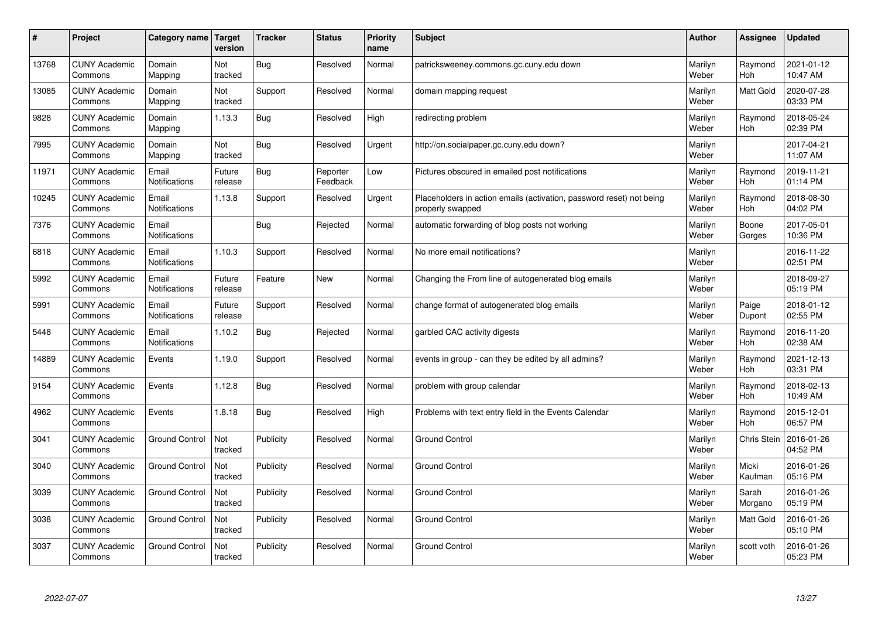| $\pmb{\sharp}$ | Project                         | Category name                 | Target<br>version     | <b>Tracker</b> | <b>Status</b>        | <b>Priority</b><br>name | <b>Subject</b>                                                                           | <b>Author</b>    | Assignee              | Updated                |
|----------------|---------------------------------|-------------------------------|-----------------------|----------------|----------------------|-------------------------|------------------------------------------------------------------------------------------|------------------|-----------------------|------------------------|
| 13768          | <b>CUNY Academic</b><br>Commons | Domain<br>Mapping             | Not<br>tracked        | Bug            | Resolved             | Normal                  | patricksweeney.commons.gc.cuny.edu down                                                  | Marilyn<br>Weber | Raymond<br><b>Hoh</b> | 2021-01-12<br>10:47 AM |
| 13085          | <b>CUNY Academic</b><br>Commons | Domain<br>Mapping             | Not<br>tracked        | Support        | Resolved             | Normal                  | domain mapping request                                                                   | Marilyn<br>Weber | Matt Gold             | 2020-07-28<br>03:33 PM |
| 9828           | <b>CUNY Academic</b><br>Commons | Domain<br>Mapping             | 1.13.3                | <b>Bug</b>     | Resolved             | High                    | redirecting problem                                                                      | Marilyn<br>Weber | Raymond<br><b>Hoh</b> | 2018-05-24<br>02:39 PM |
| 7995           | <b>CUNY Academic</b><br>Commons | Domain<br>Mapping             | <b>Not</b><br>tracked | <b>Bug</b>     | Resolved             | Urgent                  | http://on.socialpaper.gc.cuny.edu down?                                                  | Marilyn<br>Weber |                       | 2017-04-21<br>11:07 AM |
| 11971          | <b>CUNY Academic</b><br>Commons | Email<br>Notifications        | Future<br>release     | <b>Bug</b>     | Reporter<br>Feedback | Low                     | Pictures obscured in emailed post notifications                                          | Marilyn<br>Weber | Raymond<br>Hoh        | 2019-11-21<br>01:14 PM |
| 10245          | <b>CUNY Academic</b><br>Commons | Email<br>Notifications        | 1.13.8                | Support        | Resolved             | Urgent                  | Placeholders in action emails (activation, password reset) not being<br>properly swapped | Marilyn<br>Weber | Raymond<br><b>Hoh</b> | 2018-08-30<br>04:02 PM |
| 7376           | <b>CUNY Academic</b><br>Commons | Email<br>Notifications        |                       | <b>Bug</b>     | Rejected             | Normal                  | automatic forwarding of blog posts not working                                           | Marilyn<br>Weber | Boone<br>Gorges       | 2017-05-01<br>10:36 PM |
| 6818           | <b>CUNY Academic</b><br>Commons | Email<br><b>Notifications</b> | 1.10.3                | Support        | Resolved             | Normal                  | No more email notifications?                                                             | Marilyn<br>Weber |                       | 2016-11-22<br>02:51 PM |
| 5992           | <b>CUNY Academic</b><br>Commons | Email<br>Notifications        | Future<br>release     | Feature        | <b>New</b>           | Normal                  | Changing the From line of autogenerated blog emails                                      | Marilyn<br>Weber |                       | 2018-09-27<br>05:19 PM |
| 5991           | <b>CUNY Academic</b><br>Commons | Email<br>Notifications        | Future<br>release     | Support        | Resolved             | Normal                  | change format of autogenerated blog emails                                               | Marilyn<br>Weber | Paige<br>Dupont       | 2018-01-12<br>02:55 PM |
| 5448           | <b>CUNY Academic</b><br>Commons | Email<br>Notifications        | 1.10.2                | <b>Bug</b>     | Rejected             | Normal                  | garbled CAC activity digests                                                             | Marilyn<br>Weber | Raymond<br>Hoh        | 2016-11-20<br>02:38 AM |
| 14889          | <b>CUNY Academic</b><br>Commons | Events                        | 1.19.0                | Support        | Resolved             | Normal                  | events in group - can they be edited by all admins?                                      | Marilyn<br>Weber | Raymond<br>Hoh        | 2021-12-13<br>03:31 PM |
| 9154           | <b>CUNY Academic</b><br>Commons | Events                        | 1.12.8                | Bug            | Resolved             | Normal                  | problem with group calendar                                                              | Marilyn<br>Weber | Raymond<br>Hoh        | 2018-02-13<br>10:49 AM |
| 4962           | <b>CUNY Academic</b><br>Commons | Events                        | 1.8.18                | <b>Bug</b>     | Resolved             | High                    | Problems with text entry field in the Events Calendar                                    | Marilyn<br>Weber | Raymond<br>Hoh        | 2015-12-01<br>06:57 PM |
| 3041           | <b>CUNY Academic</b><br>Commons | <b>Ground Control</b>         | Not<br>tracked        | Publicity      | Resolved             | Normal                  | <b>Ground Control</b>                                                                    | Marilyn<br>Weber | Chris Stein           | 2016-01-26<br>04:52 PM |
| 3040           | <b>CUNY Academic</b><br>Commons | <b>Ground Control</b>         | Not<br>tracked        | Publicity      | Resolved             | Normal                  | <b>Ground Control</b>                                                                    | Marilyn<br>Weber | Micki<br>Kaufman      | 2016-01-26<br>05:16 PM |
| 3039           | <b>CUNY Academic</b><br>Commons | <b>Ground Control</b>         | Not<br>tracked        | Publicity      | Resolved             | Normal                  | <b>Ground Control</b>                                                                    | Marilyn<br>Weber | Sarah<br>Morgano      | 2016-01-26<br>05:19 PM |
| 3038           | <b>CUNY Academic</b><br>Commons | <b>Ground Control</b>         | Not<br>tracked        | Publicity      | Resolved             | Normal                  | Ground Control                                                                           | Marilyn<br>Weber | Matt Gold             | 2016-01-26<br>05:10 PM |
| 3037           | <b>CUNY Academic</b><br>Commons | <b>Ground Control</b>         | Not<br>tracked        | Publicity      | Resolved             | Normal                  | <b>Ground Control</b>                                                                    | Marilyn<br>Weber | scott voth            | 2016-01-26<br>05:23 PM |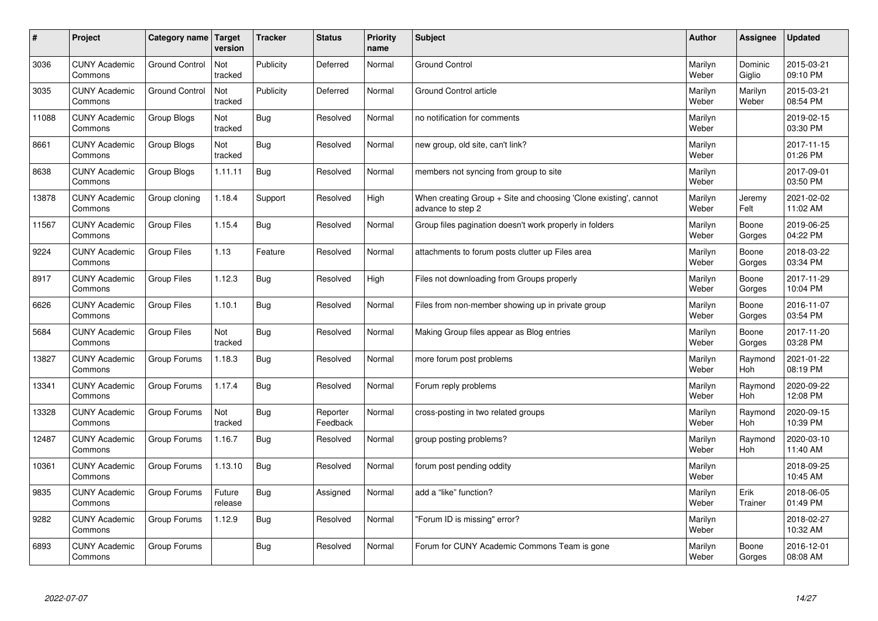| $\sharp$ | Project                         | Category name   Target | version           | <b>Tracker</b> | <b>Status</b>        | <b>Priority</b><br>name | <b>Subject</b>                                                                        | <b>Author</b>    | <b>Assignee</b>       | <b>Updated</b>         |
|----------|---------------------------------|------------------------|-------------------|----------------|----------------------|-------------------------|---------------------------------------------------------------------------------------|------------------|-----------------------|------------------------|
| 3036     | <b>CUNY Academic</b><br>Commons | <b>Ground Control</b>  | Not<br>tracked    | Publicity      | Deferred             | Normal                  | <b>Ground Control</b>                                                                 | Marilyn<br>Weber | Dominic<br>Giglio     | 2015-03-21<br>09:10 PM |
| 3035     | <b>CUNY Academic</b><br>Commons | <b>Ground Control</b>  | Not<br>tracked    | Publicity      | Deferred             | Normal                  | Ground Control article                                                                | Marilyn<br>Weber | Marilyn<br>Weber      | 2015-03-21<br>08:54 PM |
| 11088    | <b>CUNY Academic</b><br>Commons | Group Blogs            | Not<br>tracked    | Bug            | Resolved             | Normal                  | no notification for comments                                                          | Marilyn<br>Weber |                       | 2019-02-15<br>03:30 PM |
| 8661     | <b>CUNY Academic</b><br>Commons | Group Blogs            | Not<br>tracked    | Bug            | Resolved             | Normal                  | new group, old site, can't link?                                                      | Marilyn<br>Weber |                       | 2017-11-15<br>01:26 PM |
| 8638     | <b>CUNY Academic</b><br>Commons | Group Blogs            | 1.11.11           | Bug            | Resolved             | Normal                  | members not syncing from group to site                                                | Marilyn<br>Weber |                       | 2017-09-01<br>03:50 PM |
| 13878    | <b>CUNY Academic</b><br>Commons | Group cloning          | 1.18.4            | Support        | Resolved             | High                    | When creating Group + Site and choosing 'Clone existing', cannot<br>advance to step 2 | Marilyn<br>Weber | Jeremy<br>Felt        | 2021-02-02<br>11:02 AM |
| 11567    | <b>CUNY Academic</b><br>Commons | Group Files            | 1.15.4            | <b>Bug</b>     | Resolved             | Normal                  | Group files pagination doesn't work properly in folders                               | Marilyn<br>Weber | Boone<br>Gorges       | 2019-06-25<br>04:22 PM |
| 9224     | <b>CUNY Academic</b><br>Commons | <b>Group Files</b>     | 1.13              | Feature        | Resolved             | Normal                  | attachments to forum posts clutter up Files area                                      | Marilyn<br>Weber | Boone<br>Gorges       | 2018-03-22<br>03:34 PM |
| 8917     | <b>CUNY Academic</b><br>Commons | Group Files            | 1.12.3            | Bug            | Resolved             | High                    | Files not downloading from Groups properly                                            | Marilyn<br>Weber | Boone<br>Gorges       | 2017-11-29<br>10:04 PM |
| 6626     | <b>CUNY Academic</b><br>Commons | Group Files            | 1.10.1            | Bug            | Resolved             | Normal                  | Files from non-member showing up in private group                                     | Marilyn<br>Weber | Boone<br>Gorges       | 2016-11-07<br>03:54 PM |
| 5684     | <b>CUNY Academic</b><br>Commons | Group Files            | Not<br>tracked    | <b>Bug</b>     | Resolved             | Normal                  | Making Group files appear as Blog entries                                             | Marilyn<br>Weber | Boone<br>Gorges       | 2017-11-20<br>03:28 PM |
| 13827    | <b>CUNY Academic</b><br>Commons | Group Forums           | 1.18.3            | Bug            | Resolved             | Normal                  | more forum post problems                                                              | Marilyn<br>Weber | Raymond<br>Hoh        | 2021-01-22<br>08:19 PM |
| 13341    | <b>CUNY Academic</b><br>Commons | Group Forums           | 1.17.4            | Bug            | Resolved             | Normal                  | Forum reply problems                                                                  | Marilyn<br>Weber | Raymond<br>Hoh        | 2020-09-22<br>12:08 PM |
| 13328    | <b>CUNY Academic</b><br>Commons | Group Forums           | Not<br>tracked    | Bug            | Reporter<br>Feedback | Normal                  | cross-posting in two related groups                                                   | Marilyn<br>Weber | Raymond<br><b>Hoh</b> | 2020-09-15<br>10:39 PM |
| 12487    | <b>CUNY Academic</b><br>Commons | Group Forums           | 1.16.7            | <b>Bug</b>     | Resolved             | Normal                  | group posting problems?                                                               | Marilyn<br>Weber | Raymond<br><b>Hoh</b> | 2020-03-10<br>11:40 AM |
| 10361    | <b>CUNY Academic</b><br>Commons | Group Forums           | 1.13.10           | Bug            | Resolved             | Normal                  | forum post pending oddity                                                             | Marilyn<br>Weber |                       | 2018-09-25<br>10:45 AM |
| 9835     | <b>CUNY Academic</b><br>Commons | Group Forums           | Future<br>release | Bug            | Assigned             | Normal                  | add a "like" function?                                                                | Marilyn<br>Weber | Erik<br>Trainer       | 2018-06-05<br>01:49 PM |
| 9282     | <b>CUNY Academic</b><br>Commons | Group Forums           | 1.12.9            | <b>Bug</b>     | Resolved             | Normal                  | 'Forum ID is missing" error?                                                          | Marilyn<br>Weber |                       | 2018-02-27<br>10:32 AM |
| 6893     | <b>CUNY Academic</b><br>Commons | Group Forums           |                   | <b>Bug</b>     | Resolved             | Normal                  | Forum for CUNY Academic Commons Team is gone                                          | Marilyn<br>Weber | Boone<br>Gorges       | 2016-12-01<br>08:08 AM |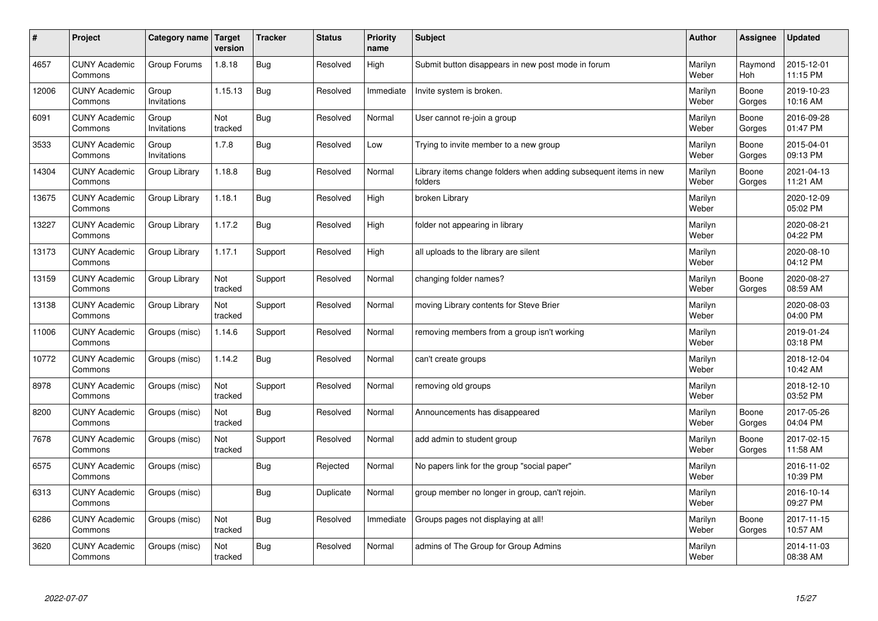| #     | Project                         | Category name   Target | version        | <b>Tracker</b> | <b>Status</b> | <b>Priority</b><br>name | <b>Subject</b>                                                              | <b>Author</b>    | <b>Assignee</b>       | <b>Updated</b>         |
|-------|---------------------------------|------------------------|----------------|----------------|---------------|-------------------------|-----------------------------------------------------------------------------|------------------|-----------------------|------------------------|
| 4657  | <b>CUNY Academic</b><br>Commons | Group Forums           | 1.8.18         | <b>Bug</b>     | Resolved      | High                    | Submit button disappears in new post mode in forum                          | Marilyn<br>Weber | Raymond<br><b>Hoh</b> | 2015-12-01<br>11:15 PM |
| 12006 | <b>CUNY Academic</b><br>Commons | Group<br>Invitations   | 1.15.13        | <b>Bug</b>     | Resolved      | Immediate               | Invite system is broken.                                                    | Marilyn<br>Weber | Boone<br>Gorges       | 2019-10-23<br>10:16 AM |
| 6091  | <b>CUNY Academic</b><br>Commons | Group<br>Invitations   | Not<br>tracked | Bug            | Resolved      | Normal                  | User cannot re-join a group                                                 | Marilyn<br>Weber | Boone<br>Gorges       | 2016-09-28<br>01:47 PM |
| 3533  | <b>CUNY Academic</b><br>Commons | Group<br>Invitations   | 1.7.8          | <b>Bug</b>     | Resolved      | Low                     | Trying to invite member to a new group                                      | Marilyn<br>Weber | Boone<br>Gorges       | 2015-04-01<br>09:13 PM |
| 14304 | <b>CUNY Academic</b><br>Commons | Group Library          | 1.18.8         | <b>Bug</b>     | Resolved      | Normal                  | Library items change folders when adding subsequent items in new<br>folders | Marilyn<br>Weber | Boone<br>Gorges       | 2021-04-13<br>11:21 AM |
| 13675 | <b>CUNY Academic</b><br>Commons | Group Library          | 1.18.1         | Bug            | Resolved      | High                    | broken Library                                                              | Marilyn<br>Weber |                       | 2020-12-09<br>05:02 PM |
| 13227 | <b>CUNY Academic</b><br>Commons | Group Library          | 1.17.2         | Bug            | Resolved      | High                    | folder not appearing in library                                             | Marilyn<br>Weber |                       | 2020-08-21<br>04:22 PM |
| 13173 | <b>CUNY Academic</b><br>Commons | Group Library          | 1.17.1         | Support        | Resolved      | High                    | all uploads to the library are silent                                       | Marilyn<br>Weber |                       | 2020-08-10<br>04:12 PM |
| 13159 | <b>CUNY Academic</b><br>Commons | Group Library          | Not<br>tracked | Support        | Resolved      | Normal                  | changing folder names?                                                      | Marilyn<br>Weber | Boone<br>Gorges       | 2020-08-27<br>08:59 AM |
| 13138 | <b>CUNY Academic</b><br>Commons | Group Library          | Not<br>tracked | Support        | Resolved      | Normal                  | moving Library contents for Steve Brier                                     | Marilyn<br>Weber |                       | 2020-08-03<br>04:00 PM |
| 11006 | <b>CUNY Academic</b><br>Commons | Groups (misc)          | 1.14.6         | Support        | Resolved      | Normal                  | removing members from a group isn't working                                 | Marilyn<br>Weber |                       | 2019-01-24<br>03:18 PM |
| 10772 | <b>CUNY Academic</b><br>Commons | Groups (misc)          | 1.14.2         | <b>Bug</b>     | Resolved      | Normal                  | can't create groups                                                         | Marilyn<br>Weber |                       | 2018-12-04<br>10:42 AM |
| 8978  | <b>CUNY Academic</b><br>Commons | Groups (misc)          | Not<br>tracked | Support        | Resolved      | Normal                  | removing old groups                                                         | Marilyn<br>Weber |                       | 2018-12-10<br>03:52 PM |
| 8200  | <b>CUNY Academic</b><br>Commons | Groups (misc)          | Not<br>tracked | Bug            | Resolved      | Normal                  | Announcements has disappeared                                               | Marilyn<br>Weber | Boone<br>Gorges       | 2017-05-26<br>04:04 PM |
| 7678  | <b>CUNY Academic</b><br>Commons | Groups (misc)          | Not<br>tracked | Support        | Resolved      | Normal                  | add admin to student group                                                  | Marilyn<br>Weber | Boone<br>Gorges       | 2017-02-15<br>11:58 AM |
| 6575  | <b>CUNY Academic</b><br>Commons | Groups (misc)          |                | Bug            | Rejected      | Normal                  | No papers link for the group "social paper"                                 | Marilyn<br>Weber |                       | 2016-11-02<br>10:39 PM |
| 6313  | <b>CUNY Academic</b><br>Commons | Groups (misc)          |                | Bug            | Duplicate     | Normal                  | group member no longer in group, can't rejoin.                              | Marilyn<br>Weber |                       | 2016-10-14<br>09:27 PM |
| 6286  | <b>CUNY Academic</b><br>Commons | Groups (misc)          | Not<br>tracked | Bug            | Resolved      | Immediate               | Groups pages not displaying at all!                                         | Marilyn<br>Weber | Boone<br>Gorges       | 2017-11-15<br>10:57 AM |
| 3620  | <b>CUNY Academic</b><br>Commons | Groups (misc)          | Not<br>tracked | Bug            | Resolved      | Normal                  | admins of The Group for Group Admins                                        | Marilyn<br>Weber |                       | 2014-11-03<br>08:38 AM |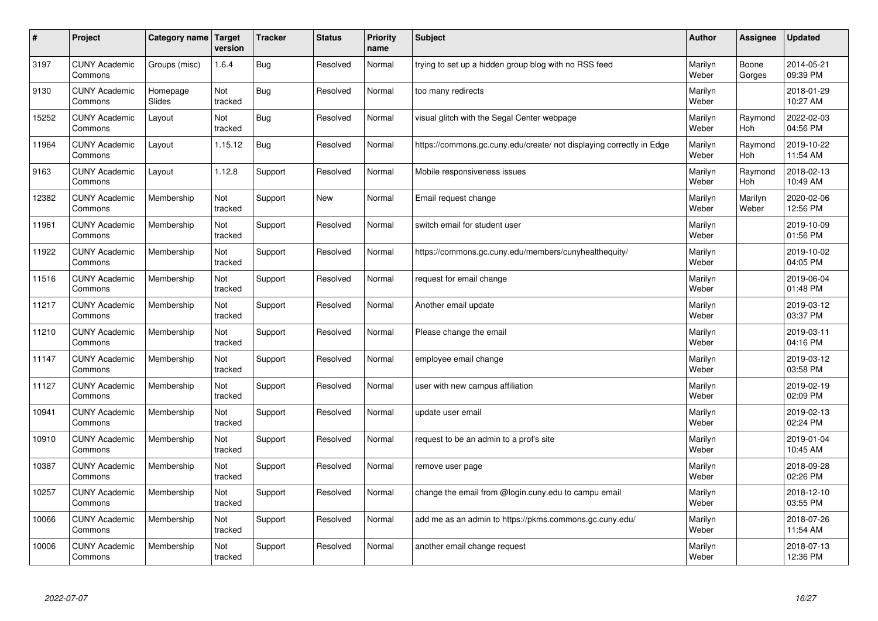| #     | Project                         | Category name   Target | version        | <b>Tracker</b> | <b>Status</b> | <b>Priority</b><br>name | <b>Subject</b>                                                       | <b>Author</b>    | <b>Assignee</b>  | <b>Updated</b>         |
|-------|---------------------------------|------------------------|----------------|----------------|---------------|-------------------------|----------------------------------------------------------------------|------------------|------------------|------------------------|
| 3197  | <b>CUNY Academic</b><br>Commons | Groups (misc)          | 1.6.4          | Bug            | Resolved      | Normal                  | trying to set up a hidden group blog with no RSS feed                | Marilyn<br>Weber | Boone<br>Gorges  | 2014-05-21<br>09:39 PM |
| 9130  | <b>CUNY Academic</b><br>Commons | Homepage<br>Slides     | Not<br>tracked | Bug            | Resolved      | Normal                  | too many redirects                                                   | Marilyn<br>Weber |                  | 2018-01-29<br>10:27 AM |
| 15252 | <b>CUNY Academic</b><br>Commons | Layout                 | Not<br>tracked | Bug            | Resolved      | Normal                  | visual glitch with the Segal Center webpage                          | Marilyn<br>Weber | Raymond<br>Hoh   | 2022-02-03<br>04:56 PM |
| 11964 | <b>CUNY Academic</b><br>Commons | Layout                 | 1.15.12        | Bug            | Resolved      | Normal                  | https://commons.gc.cuny.edu/create/ not displaying correctly in Edge | Marilyn<br>Weber | Raymond<br>Hoh   | 2019-10-22<br>11:54 AM |
| 9163  | <b>CUNY Academic</b><br>Commons | Layout                 | 1.12.8         | Support        | Resolved      | Normal                  | Mobile responsiveness issues                                         | Marilyn<br>Weber | Raymond<br>Hoh   | 2018-02-13<br>10:49 AM |
| 12382 | <b>CUNY Academic</b><br>Commons | Membership             | Not<br>tracked | Support        | <b>New</b>    | Normal                  | Email request change                                                 | Marilyn<br>Weber | Marilyn<br>Weber | 2020-02-06<br>12:56 PM |
| 11961 | <b>CUNY Academic</b><br>Commons | Membership             | Not<br>tracked | Support        | Resolved      | Normal                  | switch email for student user                                        | Marilyn<br>Weber |                  | 2019-10-09<br>01:56 PM |
| 11922 | <b>CUNY Academic</b><br>Commons | Membership             | Not<br>tracked | Support        | Resolved      | Normal                  | https://commons.gc.cuny.edu/members/cunyhealthequity/                | Marilyn<br>Weber |                  | 2019-10-02<br>04:05 PM |
| 11516 | <b>CUNY Academic</b><br>Commons | Membership             | Not<br>tracked | Support        | Resolved      | Normal                  | request for email change                                             | Marilyn<br>Weber |                  | 2019-06-04<br>01:48 PM |
| 11217 | <b>CUNY Academic</b><br>Commons | Membership             | Not<br>tracked | Support        | Resolved      | Normal                  | Another email update                                                 | Marilyn<br>Weber |                  | 2019-03-12<br>03:37 PM |
| 11210 | <b>CUNY Academic</b><br>Commons | Membership             | Not<br>tracked | Support        | Resolved      | Normal                  | Please change the email                                              | Marilyn<br>Weber |                  | 2019-03-11<br>04:16 PM |
| 11147 | <b>CUNY Academic</b><br>Commons | Membership             | Not<br>tracked | Support        | Resolved      | Normal                  | employee email change                                                | Marilyn<br>Weber |                  | 2019-03-12<br>03:58 PM |
| 11127 | <b>CUNY Academic</b><br>Commons | Membership             | Not<br>tracked | Support        | Resolved      | Normal                  | user with new campus affiliation                                     | Marilyn<br>Weber |                  | 2019-02-19<br>02:09 PM |
| 10941 | <b>CUNY Academic</b><br>Commons | Membership             | Not<br>tracked | Support        | Resolved      | Normal                  | update user email                                                    | Marilyn<br>Weber |                  | 2019-02-13<br>02:24 PM |
| 10910 | <b>CUNY Academic</b><br>Commons | Membership             | Not<br>tracked | Support        | Resolved      | Normal                  | request to be an admin to a prof's site                              | Marilyn<br>Weber |                  | 2019-01-04<br>10:45 AM |
| 10387 | <b>CUNY Academic</b><br>Commons | Membership             | Not<br>tracked | Support        | Resolved      | Normal                  | remove user page                                                     | Marilyn<br>Weber |                  | 2018-09-28<br>02:26 PM |
| 10257 | <b>CUNY Academic</b><br>Commons | Membership             | Not<br>tracked | Support        | Resolved      | Normal                  | change the email from @login.cuny.edu to campu email                 | Marilyn<br>Weber |                  | 2018-12-10<br>03:55 PM |
| 10066 | <b>CUNY Academic</b><br>Commons | Membership             | Not<br>tracked | Support        | Resolved      | Normal                  | add me as an admin to https://pkms.commons.gc.cuny.edu/              | Marilyn<br>Weber |                  | 2018-07-26<br>11:54 AM |
| 10006 | <b>CUNY Academic</b><br>Commons | Membership             | Not<br>tracked | Support        | Resolved      | Normal                  | another email change request                                         | Marilyn<br>Weber |                  | 2018-07-13<br>12:36 PM |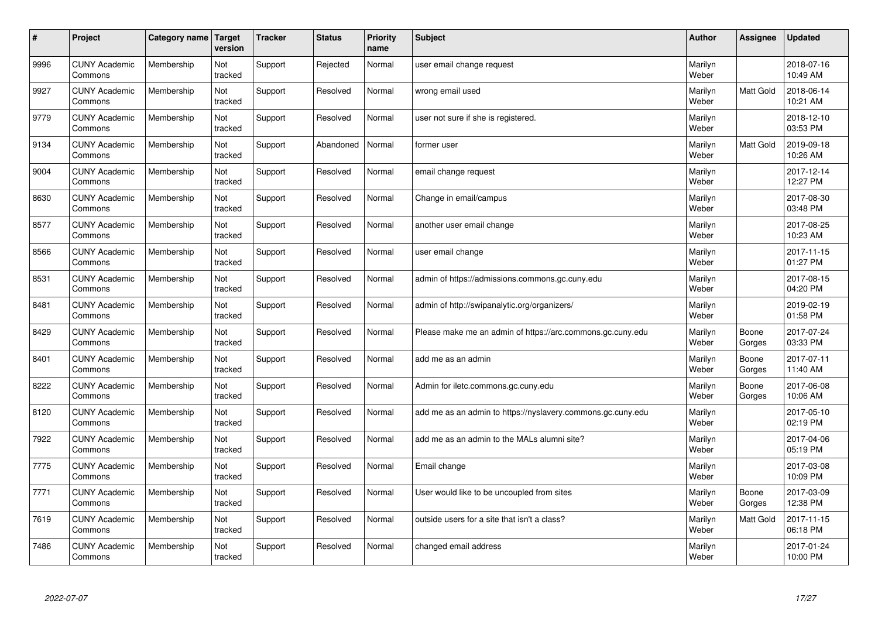| #    | Project                         | Category name | Target<br>version | <b>Tracker</b> | <b>Status</b> | <b>Priority</b><br>name | <b>Subject</b>                                              | <b>Author</b>    | Assignee         | Updated                |
|------|---------------------------------|---------------|-------------------|----------------|---------------|-------------------------|-------------------------------------------------------------|------------------|------------------|------------------------|
| 9996 | <b>CUNY Academic</b><br>Commons | Membership    | Not<br>tracked    | Support        | Rejected      | Normal                  | user email change request                                   | Marilyn<br>Weber |                  | 2018-07-16<br>10:49 AM |
| 9927 | <b>CUNY Academic</b><br>Commons | Membership    | Not<br>tracked    | Support        | Resolved      | Normal                  | wrong email used                                            | Marilyn<br>Weber | <b>Matt Gold</b> | 2018-06-14<br>10:21 AM |
| 9779 | <b>CUNY Academic</b><br>Commons | Membership    | Not<br>tracked    | Support        | Resolved      | Normal                  | user not sure if she is registered.                         | Marilyn<br>Weber |                  | 2018-12-10<br>03:53 PM |
| 9134 | <b>CUNY Academic</b><br>Commons | Membership    | Not<br>tracked    | Support        | Abandoned     | Normal                  | former user                                                 | Marilyn<br>Weber | Matt Gold        | 2019-09-18<br>10:26 AM |
| 9004 | <b>CUNY Academic</b><br>Commons | Membership    | Not<br>tracked    | Support        | Resolved      | Normal                  | email change request                                        | Marilyn<br>Weber |                  | 2017-12-14<br>12:27 PM |
| 8630 | <b>CUNY Academic</b><br>Commons | Membership    | Not<br>tracked    | Support        | Resolved      | Normal                  | Change in email/campus                                      | Marilyn<br>Weber |                  | 2017-08-30<br>03:48 PM |
| 8577 | <b>CUNY Academic</b><br>Commons | Membership    | Not<br>tracked    | Support        | Resolved      | Normal                  | another user email change                                   | Marilyn<br>Weber |                  | 2017-08-25<br>10:23 AM |
| 8566 | <b>CUNY Academic</b><br>Commons | Membership    | Not<br>tracked    | Support        | Resolved      | Normal                  | user email change                                           | Marilyn<br>Weber |                  | 2017-11-15<br>01:27 PM |
| 8531 | <b>CUNY Academic</b><br>Commons | Membership    | Not<br>tracked    | Support        | Resolved      | Normal                  | admin of https://admissions.commons.gc.cuny.edu             | Marilyn<br>Weber |                  | 2017-08-15<br>04:20 PM |
| 8481 | <b>CUNY Academic</b><br>Commons | Membership    | Not<br>tracked    | Support        | Resolved      | Normal                  | admin of http://swipanalytic.org/organizers/                | Marilyn<br>Weber |                  | 2019-02-19<br>01:58 PM |
| 8429 | <b>CUNY Academic</b><br>Commons | Membership    | Not<br>tracked    | Support        | Resolved      | Normal                  | Please make me an admin of https://arc.commons.gc.cuny.edu  | Marilyn<br>Weber | Boone<br>Gorges  | 2017-07-24<br>03:33 PM |
| 8401 | <b>CUNY Academic</b><br>Commons | Membership    | Not<br>tracked    | Support        | Resolved      | Normal                  | add me as an admin                                          | Marilyn<br>Weber | Boone<br>Gorges  | 2017-07-11<br>11:40 AM |
| 8222 | <b>CUNY Academic</b><br>Commons | Membership    | Not<br>tracked    | Support        | Resolved      | Normal                  | Admin for iletc.commons.gc.cuny.edu                         | Marilyn<br>Weber | Boone<br>Gorges  | 2017-06-08<br>10:06 AM |
| 8120 | <b>CUNY Academic</b><br>Commons | Membership    | Not<br>tracked    | Support        | Resolved      | Normal                  | add me as an admin to https://nyslavery.commons.gc.cuny.edu | Marilyn<br>Weber |                  | 2017-05-10<br>02:19 PM |
| 7922 | <b>CUNY Academic</b><br>Commons | Membership    | Not<br>tracked    | Support        | Resolved      | Normal                  | add me as an admin to the MALs alumni site?                 | Marilyn<br>Weber |                  | 2017-04-06<br>05:19 PM |
| 7775 | <b>CUNY Academic</b><br>Commons | Membership    | Not<br>tracked    | Support        | Resolved      | Normal                  | Email change                                                | Marilyn<br>Weber |                  | 2017-03-08<br>10:09 PM |
| 7771 | <b>CUNY Academic</b><br>Commons | Membership    | Not<br>tracked    | Support        | Resolved      | Normal                  | User would like to be uncoupled from sites                  | Marilyn<br>Weber | Boone<br>Gorges  | 2017-03-09<br>12:38 PM |
| 7619 | <b>CUNY Academic</b><br>Commons | Membership    | Not<br>tracked    | Support        | Resolved      | Normal                  | outside users for a site that isn't a class?                | Marilyn<br>Weber | <b>Matt Gold</b> | 2017-11-15<br>06:18 PM |
| 7486 | <b>CUNY Academic</b><br>Commons | Membership    | Not<br>tracked    | Support        | Resolved      | Normal                  | changed email address                                       | Marilyn<br>Weber |                  | 2017-01-24<br>10:00 PM |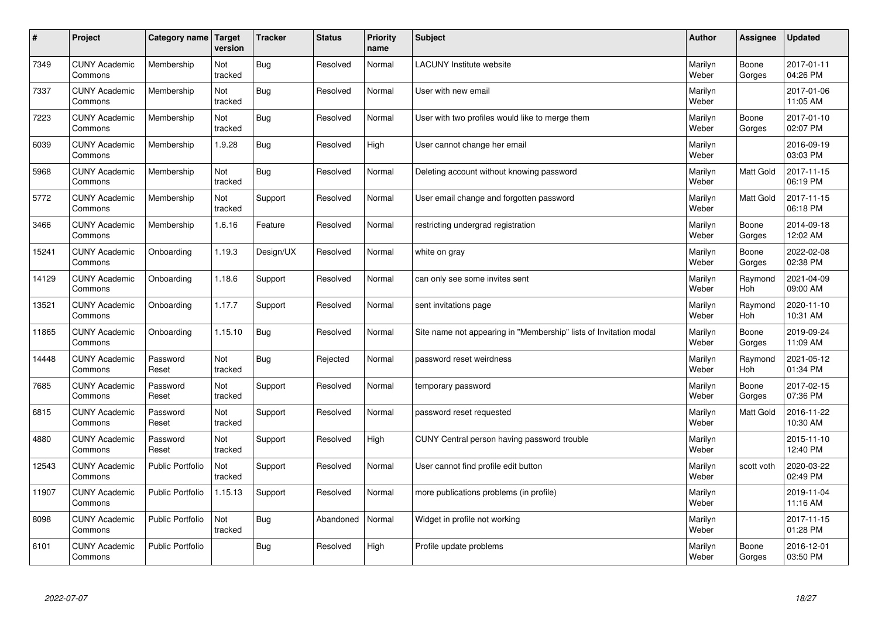| $\sharp$ | Project                         | Category name           | Target<br>version | <b>Tracker</b> | <b>Status</b> | <b>Priority</b><br>name | <b>Subject</b>                                                    | <b>Author</b>    | Assignee              | <b>Updated</b>         |
|----------|---------------------------------|-------------------------|-------------------|----------------|---------------|-------------------------|-------------------------------------------------------------------|------------------|-----------------------|------------------------|
| 7349     | <b>CUNY Academic</b><br>Commons | Membership              | Not<br>tracked    | <b>Bug</b>     | Resolved      | Normal                  | <b>LACUNY Institute website</b>                                   | Marilyn<br>Weber | Boone<br>Gorges       | 2017-01-11<br>04:26 PM |
| 7337     | <b>CUNY Academic</b><br>Commons | Membership              | Not<br>tracked    | Bug            | Resolved      | Normal                  | User with new email                                               | Marilyn<br>Weber |                       | 2017-01-06<br>11:05 AM |
| 7223     | <b>CUNY Academic</b><br>Commons | Membership              | Not<br>tracked    | Bug            | Resolved      | Normal                  | User with two profiles would like to merge them                   | Marilyn<br>Weber | Boone<br>Gorges       | 2017-01-10<br>02:07 PM |
| 6039     | <b>CUNY Academic</b><br>Commons | Membership              | 1.9.28            | Bug            | Resolved      | High                    | User cannot change her email                                      | Marilyn<br>Weber |                       | 2016-09-19<br>03:03 PM |
| 5968     | <b>CUNY Academic</b><br>Commons | Membership              | Not<br>tracked    | Bug            | Resolved      | Normal                  | Deleting account without knowing password                         | Marilyn<br>Weber | Matt Gold             | 2017-11-15<br>06:19 PM |
| 5772     | <b>CUNY Academic</b><br>Commons | Membership              | Not<br>tracked    | Support        | Resolved      | Normal                  | User email change and forgotten password                          | Marilyn<br>Weber | <b>Matt Gold</b>      | 2017-11-15<br>06:18 PM |
| 3466     | <b>CUNY Academic</b><br>Commons | Membership              | 1.6.16            | Feature        | Resolved      | Normal                  | restricting undergrad registration                                | Marilyn<br>Weber | Boone<br>Gorges       | 2014-09-18<br>12:02 AM |
| 15241    | <b>CUNY Academic</b><br>Commons | Onboarding              | 1.19.3            | Design/UX      | Resolved      | Normal                  | white on gray                                                     | Marilyn<br>Weber | Boone<br>Gorges       | 2022-02-08<br>02:38 PM |
| 14129    | <b>CUNY Academic</b><br>Commons | Onboarding              | 1.18.6            | Support        | Resolved      | Normal                  | can only see some invites sent                                    | Marilyn<br>Weber | Raymond<br>Hoh        | 2021-04-09<br>09:00 AM |
| 13521    | <b>CUNY Academic</b><br>Commons | Onboarding              | 1.17.7            | Support        | Resolved      | Normal                  | sent invitations page                                             | Marilyn<br>Weber | Raymond<br>Hoh        | 2020-11-10<br>10:31 AM |
| 11865    | <b>CUNY Academic</b><br>Commons | Onboarding              | 1.15.10           | Bug            | Resolved      | Normal                  | Site name not appearing in "Membership" lists of Invitation modal | Marilyn<br>Weber | Boone<br>Gorges       | 2019-09-24<br>11:09 AM |
| 14448    | <b>CUNY Academic</b><br>Commons | Password<br>Reset       | Not<br>tracked    | Bug            | Rejected      | Normal                  | password reset weirdness                                          | Marilyn<br>Weber | Raymond<br><b>Hoh</b> | 2021-05-12<br>01:34 PM |
| 7685     | <b>CUNY Academic</b><br>Commons | Password<br>Reset       | Not<br>tracked    | Support        | Resolved      | Normal                  | temporary password                                                | Marilyn<br>Weber | Boone<br>Gorges       | 2017-02-15<br>07:36 PM |
| 6815     | <b>CUNY Academic</b><br>Commons | Password<br>Reset       | Not<br>tracked    | Support        | Resolved      | Normal                  | password reset requested                                          | Marilyn<br>Weber | <b>Matt Gold</b>      | 2016-11-22<br>10:30 AM |
| 4880     | <b>CUNY Academic</b><br>Commons | Password<br>Reset       | Not<br>tracked    | Support        | Resolved      | High                    | CUNY Central person having password trouble                       | Marilyn<br>Weber |                       | 2015-11-10<br>12:40 PM |
| 12543    | <b>CUNY Academic</b><br>Commons | Public Portfolio        | Not<br>tracked    | Support        | Resolved      | Normal                  | User cannot find profile edit button                              | Marilyn<br>Weber | scott voth            | 2020-03-22<br>02:49 PM |
| 11907    | <b>CUNY Academic</b><br>Commons | <b>Public Portfolio</b> | 1.15.13           | Support        | Resolved      | Normal                  | more publications problems (in profile)                           | Marilyn<br>Weber |                       | 2019-11-04<br>11:16 AM |
| 8098     | <b>CUNY Academic</b><br>Commons | Public Portfolio        | Not<br>tracked    | <b>Bug</b>     | Abandoned     | Normal                  | Widget in profile not working                                     | Marilyn<br>Weber |                       | 2017-11-15<br>01:28 PM |
| 6101     | <b>CUNY Academic</b><br>Commons | <b>Public Portfolio</b> |                   | Bug            | Resolved      | High                    | Profile update problems                                           | Marilyn<br>Weber | Boone<br>Gorges       | 2016-12-01<br>03:50 PM |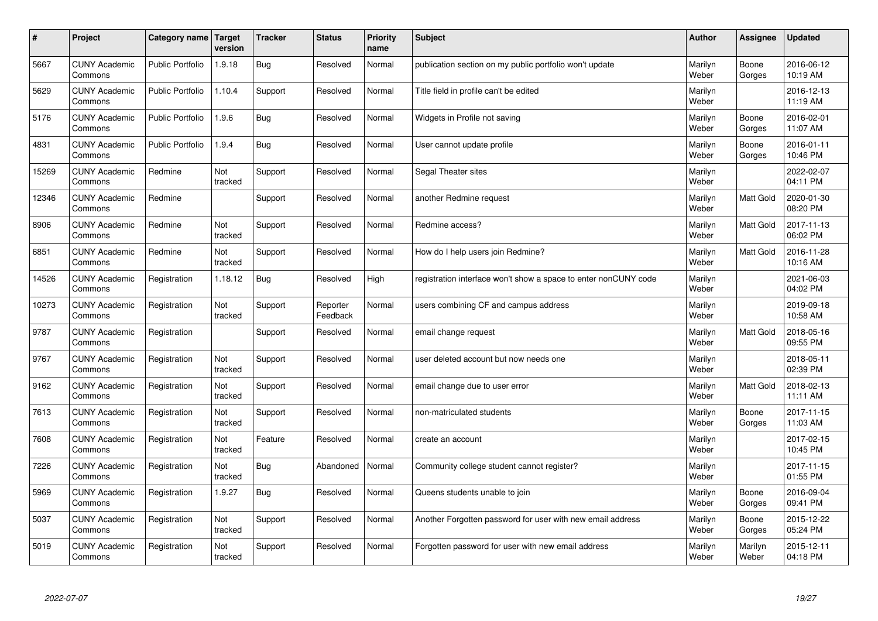| $\pmb{\#}$ | Project                         | Category name           | Target<br>version | <b>Tracker</b> | <b>Status</b>        | <b>Priority</b><br>name | <b>Subject</b>                                                  | <b>Author</b>    | Assignee         | <b>Updated</b>         |
|------------|---------------------------------|-------------------------|-------------------|----------------|----------------------|-------------------------|-----------------------------------------------------------------|------------------|------------------|------------------------|
| 5667       | <b>CUNY Academic</b><br>Commons | <b>Public Portfolio</b> | 1.9.18            | <b>Bug</b>     | Resolved             | Normal                  | publication section on my public portfolio won't update         | Marilyn<br>Weber | Boone<br>Gorges  | 2016-06-12<br>10:19 AM |
| 5629       | <b>CUNY Academic</b><br>Commons | <b>Public Portfolio</b> | 1.10.4            | Support        | Resolved             | Normal                  | Title field in profile can't be edited                          | Marilyn<br>Weber |                  | 2016-12-13<br>11:19 AM |
| 5176       | <b>CUNY Academic</b><br>Commons | <b>Public Portfolio</b> | 1.9.6             | Bug            | Resolved             | Normal                  | Widgets in Profile not saving                                   | Marilyn<br>Weber | Boone<br>Gorges  | 2016-02-01<br>11:07 AM |
| 4831       | <b>CUNY Academic</b><br>Commons | <b>Public Portfolio</b> | 1.9.4             | <b>Bug</b>     | Resolved             | Normal                  | User cannot update profile                                      | Marilyn<br>Weber | Boone<br>Gorges  | 2016-01-11<br>10:46 PM |
| 15269      | <b>CUNY Academic</b><br>Commons | Redmine                 | Not<br>tracked    | Support        | Resolved             | Normal                  | Segal Theater sites                                             | Marilyn<br>Weber |                  | 2022-02-07<br>04:11 PM |
| 12346      | <b>CUNY Academic</b><br>Commons | Redmine                 |                   | Support        | Resolved             | Normal                  | another Redmine request                                         | Marilyn<br>Weber | Matt Gold        | 2020-01-30<br>08:20 PM |
| 8906       | <b>CUNY Academic</b><br>Commons | Redmine                 | Not<br>tracked    | Support        | Resolved             | Normal                  | Redmine access?                                                 | Marilyn<br>Weber | Matt Gold        | 2017-11-13<br>06:02 PM |
| 6851       | <b>CUNY Academic</b><br>Commons | Redmine                 | Not<br>tracked    | Support        | Resolved             | Normal                  | How do I help users join Redmine?                               | Marilyn<br>Weber | Matt Gold        | 2016-11-28<br>10:16 AM |
| 14526      | <b>CUNY Academic</b><br>Commons | Registration            | 1.18.12           | Bug            | Resolved             | High                    | registration interface won't show a space to enter nonCUNY code | Marilyn<br>Weber |                  | 2021-06-03<br>04:02 PM |
| 10273      | <b>CUNY Academic</b><br>Commons | Registration            | Not<br>tracked    | Support        | Reporter<br>Feedback | Normal                  | users combining CF and campus address                           | Marilyn<br>Weber |                  | 2019-09-18<br>10:58 AM |
| 9787       | <b>CUNY Academic</b><br>Commons | Registration            |                   | Support        | Resolved             | Normal                  | email change request                                            | Marilyn<br>Weber | Matt Gold        | 2018-05-16<br>09:55 PM |
| 9767       | <b>CUNY Academic</b><br>Commons | Registration            | Not<br>tracked    | Support        | Resolved             | Normal                  | user deleted account but now needs one                          | Marilyn<br>Weber |                  | 2018-05-11<br>02:39 PM |
| 9162       | <b>CUNY Academic</b><br>Commons | Registration            | Not<br>tracked    | Support        | Resolved             | Normal                  | email change due to user error                                  | Marilyn<br>Weber | Matt Gold        | 2018-02-13<br>11:11 AM |
| 7613       | <b>CUNY Academic</b><br>Commons | Registration            | Not<br>tracked    | Support        | Resolved             | Normal                  | non-matriculated students                                       | Marilyn<br>Weber | Boone<br>Gorges  | 2017-11-15<br>11:03 AM |
| 7608       | <b>CUNY Academic</b><br>Commons | Registration            | Not<br>tracked    | Feature        | Resolved             | Normal                  | create an account                                               | Marilyn<br>Weber |                  | 2017-02-15<br>10:45 PM |
| 7226       | <b>CUNY Academic</b><br>Commons | Registration            | Not<br>tracked    | <b>Bug</b>     | Abandoned            | Normal                  | Community college student cannot register?                      | Marilyn<br>Weber |                  | 2017-11-15<br>01:55 PM |
| 5969       | <b>CUNY Academic</b><br>Commons | Registration            | 1.9.27            | Bug            | Resolved             | Normal                  | Queens students unable to join                                  | Marilyn<br>Weber | Boone<br>Gorges  | 2016-09-04<br>09:41 PM |
| 5037       | <b>CUNY Academic</b><br>Commons | Registration            | Not<br>tracked    | Support        | Resolved             | Normal                  | Another Forgotten password for user with new email address      | Marilyn<br>Weber | Boone<br>Gorges  | 2015-12-22<br>05:24 PM |
| 5019       | <b>CUNY Academic</b><br>Commons | Registration            | Not<br>tracked    | Support        | Resolved             | Normal                  | Forgotten password for user with new email address              | Marilyn<br>Weber | Marilyn<br>Weber | 2015-12-11<br>04:18 PM |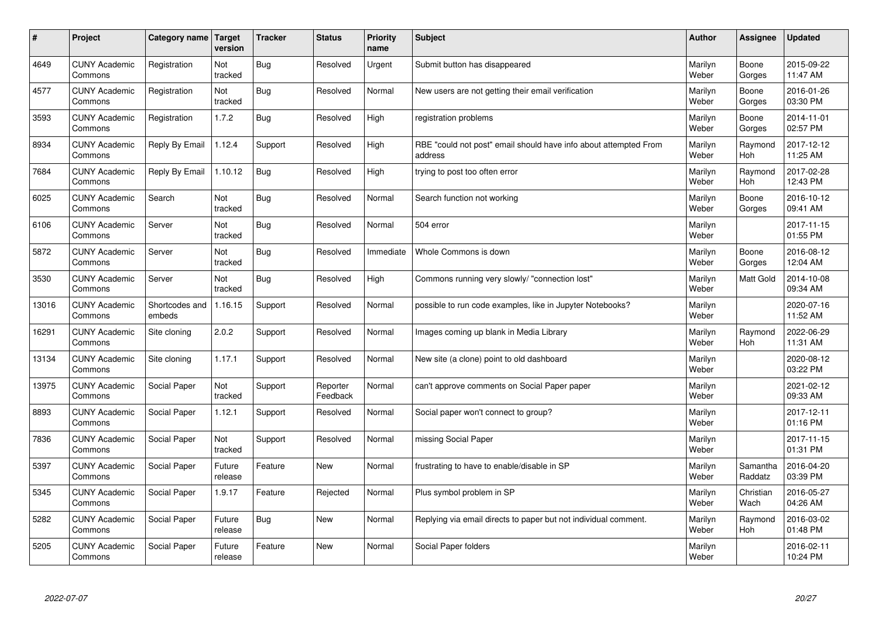| $\vert$ # | Project                         | Category name Target     | version           | <b>Tracker</b> | <b>Status</b>        | <b>Priority</b><br>name | <b>Subject</b>                                                              | <b>Author</b>    | <b>Assignee</b>       | <b>Updated</b>         |
|-----------|---------------------------------|--------------------------|-------------------|----------------|----------------------|-------------------------|-----------------------------------------------------------------------------|------------------|-----------------------|------------------------|
| 4649      | <b>CUNY Academic</b><br>Commons | Registration             | Not<br>tracked    | Bug            | Resolved             | Urgent                  | Submit button has disappeared                                               | Marilyn<br>Weber | Boone<br>Gorges       | 2015-09-22<br>11:47 AM |
| 4577      | <b>CUNY Academic</b><br>Commons | Registration             | Not<br>tracked    | <b>Bug</b>     | Resolved             | Normal                  | New users are not getting their email verification                          | Marilyn<br>Weber | Boone<br>Gorges       | 2016-01-26<br>03:30 PM |
| 3593      | <b>CUNY Academic</b><br>Commons | Registration             | 1.7.2             | Bug            | Resolved             | High                    | registration problems                                                       | Marilyn<br>Weber | Boone<br>Gorges       | 2014-11-01<br>02:57 PM |
| 8934      | <b>CUNY Academic</b><br>Commons | Reply By Email           | 1.12.4            | Support        | Resolved             | High                    | RBE "could not post" email should have info about attempted From<br>address | Marilyn<br>Weber | Raymond<br><b>Hoh</b> | 2017-12-12<br>11:25 AM |
| 7684      | <b>CUNY Academic</b><br>Commons | Reply By Email           | 1.10.12           | Bug            | Resolved             | High                    | trying to post too often error                                              | Marilyn<br>Weber | Raymond<br>Hoh        | 2017-02-28<br>12:43 PM |
| 6025      | <b>CUNY Academic</b><br>Commons | Search                   | Not<br>tracked    | Bug            | Resolved             | Normal                  | Search function not working                                                 | Marilyn<br>Weber | Boone<br>Gorges       | 2016-10-12<br>09:41 AM |
| 6106      | <b>CUNY Academic</b><br>Commons | Server                   | Not<br>tracked    | <b>Bug</b>     | Resolved             | Normal                  | 504 error                                                                   | Marilyn<br>Weber |                       | 2017-11-15<br>01:55 PM |
| 5872      | <b>CUNY Academic</b><br>Commons | Server                   | Not<br>tracked    | Bug            | Resolved             | Immediate               | Whole Commons is down                                                       | Marilyn<br>Weber | Boone<br>Gorges       | 2016-08-12<br>12:04 AM |
| 3530      | <b>CUNY Academic</b><br>Commons | Server                   | Not<br>tracked    | Bug            | Resolved             | High                    | Commons running very slowly/ "connection lost"                              | Marilyn<br>Weber | <b>Matt Gold</b>      | 2014-10-08<br>09:34 AM |
| 13016     | <b>CUNY Academic</b><br>Commons | Shortcodes and<br>embeds | 1.16.15           | Support        | Resolved             | Normal                  | possible to run code examples, like in Jupyter Notebooks?                   | Marilyn<br>Weber |                       | 2020-07-16<br>11:52 AM |
| 16291     | <b>CUNY Academic</b><br>Commons | Site cloning             | 2.0.2             | Support        | Resolved             | Normal                  | Images coming up blank in Media Library                                     | Marilyn<br>Weber | Raymond<br>Hoh        | 2022-06-29<br>11:31 AM |
| 13134     | <b>CUNY Academic</b><br>Commons | Site cloning             | 1.17.1            | Support        | Resolved             | Normal                  | New site (a clone) point to old dashboard                                   | Marilyn<br>Weber |                       | 2020-08-12<br>03:22 PM |
| 13975     | <b>CUNY Academic</b><br>Commons | Social Paper             | Not<br>tracked    | Support        | Reporter<br>Feedback | Normal                  | can't approve comments on Social Paper paper                                | Marilyn<br>Weber |                       | 2021-02-12<br>09:33 AM |
| 8893      | <b>CUNY Academic</b><br>Commons | Social Paper             | 1.12.1            | Support        | Resolved             | Normal                  | Social paper won't connect to group?                                        | Marilyn<br>Weber |                       | 2017-12-11<br>01:16 PM |
| 7836      | <b>CUNY Academic</b><br>Commons | Social Paper             | Not<br>tracked    | Support        | Resolved             | Normal                  | missing Social Paper                                                        | Marilyn<br>Weber |                       | 2017-11-15<br>01:31 PM |
| 5397      | <b>CUNY Academic</b><br>Commons | Social Paper             | Future<br>release | Feature        | <b>New</b>           | Normal                  | frustrating to have to enable/disable in SP                                 | Marilyn<br>Weber | Samantha<br>Raddatz   | 2016-04-20<br>03:39 PM |
| 5345      | <b>CUNY Academic</b><br>Commons | Social Paper             | 1.9.17            | Feature        | Rejected             | Normal                  | Plus symbol problem in SP                                                   | Marilyn<br>Weber | Christian<br>Wach     | 2016-05-27<br>04:26 AM |
| 5282      | <b>CUNY Academic</b><br>Commons | Social Paper             | Future<br>release | <b>Bug</b>     | <b>New</b>           | Normal                  | Replying via email directs to paper but not individual comment.             | Marilyn<br>Weber | Raymond<br><b>Hoh</b> | 2016-03-02<br>01:48 PM |
| 5205      | <b>CUNY Academic</b><br>Commons | Social Paper             | Future<br>release | Feature        | <b>New</b>           | Normal                  | Social Paper folders                                                        | Marilyn<br>Weber |                       | 2016-02-11<br>10:24 PM |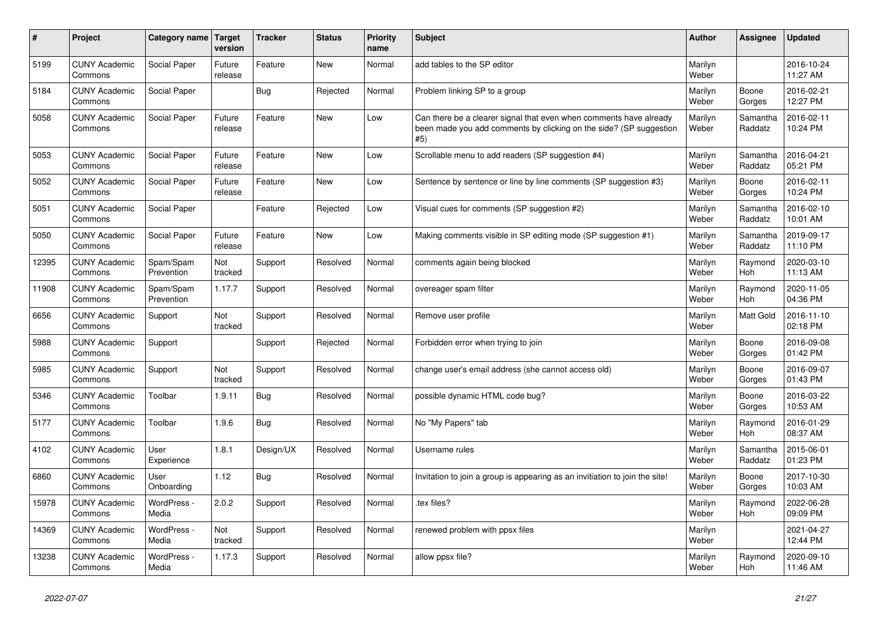| #     | Project                         | <b>Category name</b>    | Target<br>version | <b>Tracker</b> | <b>Status</b> | <b>Priority</b><br>name | <b>Subject</b>                                                                                                                                  | Author           | Assignee              | <b>Updated</b>         |
|-------|---------------------------------|-------------------------|-------------------|----------------|---------------|-------------------------|-------------------------------------------------------------------------------------------------------------------------------------------------|------------------|-----------------------|------------------------|
| 5199  | <b>CUNY Academic</b><br>Commons | Social Paper            | Future<br>release | Feature        | <b>New</b>    | Normal                  | add tables to the SP editor                                                                                                                     | Marilyn<br>Weber |                       | 2016-10-24<br>11:27 AM |
| 5184  | <b>CUNY Academic</b><br>Commons | Social Paper            |                   | <b>Bug</b>     | Rejected      | Normal                  | Problem linking SP to a group                                                                                                                   | Marilyn<br>Weber | Boone<br>Gorges       | 2016-02-21<br>12:27 PM |
| 5058  | <b>CUNY Academic</b><br>Commons | Social Paper            | Future<br>release | Feature        | New           | Low                     | Can there be a clearer signal that even when comments have already<br>been made you add comments by clicking on the side? (SP suggestion<br>#5) | Marilyn<br>Weber | Samantha<br>Raddatz   | 2016-02-11<br>10:24 PM |
| 5053  | <b>CUNY Academic</b><br>Commons | Social Paper            | Future<br>release | Feature        | New           | Low                     | Scrollable menu to add readers (SP suggestion #4)                                                                                               | Marilyn<br>Weber | Samantha<br>Raddatz   | 2016-04-21<br>05:21 PM |
| 5052  | <b>CUNY Academic</b><br>Commons | Social Paper            | Future<br>release | Feature        | New           | Low                     | Sentence by sentence or line by line comments (SP suggestion #3)                                                                                | Marilyn<br>Weber | Boone<br>Gorges       | 2016-02-11<br>10:24 PM |
| 5051  | <b>CUNY Academic</b><br>Commons | Social Paper            |                   | Feature        | Rejected      | Low                     | Visual cues for comments (SP suggestion #2)                                                                                                     | Marilyn<br>Weber | Samantha<br>Raddatz   | 2016-02-10<br>10:01 AM |
| 5050  | <b>CUNY Academic</b><br>Commons | Social Paper            | Future<br>release | Feature        | <b>New</b>    | Low                     | Making comments visible in SP editing mode (SP suggestion #1)                                                                                   | Marilyn<br>Weber | Samantha<br>Raddatz   | 2019-09-17<br>11:10 PM |
| 12395 | <b>CUNY Academic</b><br>Commons | Spam/Spam<br>Prevention | Not<br>tracked    | Support        | Resolved      | Normal                  | comments again being blocked                                                                                                                    | Marilyn<br>Weber | Raymond<br>Hoh        | 2020-03-10<br>11:13 AM |
| 11908 | <b>CUNY Academic</b><br>Commons | Spam/Spam<br>Prevention | 1.17.7            | Support        | Resolved      | Normal                  | overeager spam filter                                                                                                                           | Marilyn<br>Weber | Raymond<br>Hoh        | 2020-11-05<br>04:36 PM |
| 6656  | <b>CUNY Academic</b><br>Commons | Support                 | Not<br>tracked    | Support        | Resolved      | Normal                  | Remove user profile                                                                                                                             | Marilyn<br>Weber | <b>Matt Gold</b>      | 2016-11-10<br>02:18 PM |
| 5988  | <b>CUNY Academic</b><br>Commons | Support                 |                   | Support        | Rejected      | Normal                  | Forbidden error when trying to join                                                                                                             | Marilyn<br>Weber | Boone<br>Gorges       | 2016-09-08<br>01:42 PM |
| 5985  | <b>CUNY Academic</b><br>Commons | Support                 | Not<br>tracked    | Support        | Resolved      | Normal                  | change user's email address (she cannot access old)                                                                                             | Marilyn<br>Weber | Boone<br>Gorges       | 2016-09-07<br>01:43 PM |
| 5346  | <b>CUNY Academic</b><br>Commons | Toolbar                 | 1.9.11            | <b>Bug</b>     | Resolved      | Normal                  | possible dynamic HTML code bug?                                                                                                                 | Marilyn<br>Weber | Boone<br>Gorges       | 2016-03-22<br>10:53 AM |
| 5177  | <b>CUNY Academic</b><br>Commons | Toolbar                 | 1.9.6             | Bug            | Resolved      | Normal                  | No "My Papers" tab                                                                                                                              | Marilyn<br>Weber | Raymond<br><b>Hoh</b> | 2016-01-29<br>08:37 AM |
| 4102  | <b>CUNY Academic</b><br>Commons | User<br>Experience      | 1.8.1             | Design/UX      | Resolved      | Normal                  | Username rules                                                                                                                                  | Marilyn<br>Weber | Samantha<br>Raddatz   | 2015-06-01<br>01:23 PM |
| 6860  | <b>CUNY Academic</b><br>Commons | User<br>Onboarding      | 1.12              | Bug            | Resolved      | Normal                  | Invitation to join a group is appearing as an invitiation to join the site!                                                                     | Marilyn<br>Weber | Boone<br>Gorges       | 2017-10-30<br>10:03 AM |
| 15978 | <b>CUNY Academic</b><br>Commons | WordPress -<br>Media    | 2.0.2             | Support        | Resolved      | Normal                  | .tex files?                                                                                                                                     | Marilyn<br>Weber | Raymond<br>Hoh        | 2022-06-28<br>09:09 PM |
| 14369 | <b>CUNY Academic</b><br>Commons | WordPress -<br>Media    | Not<br>tracked    | Support        | Resolved      | Normal                  | renewed problem with ppsx files                                                                                                                 | Marilyn<br>Weber |                       | 2021-04-27<br>12:44 PM |
| 13238 | <b>CUNY Academic</b><br>Commons | WordPress -<br>Media    | 1.17.3            | Support        | Resolved      | Normal                  | allow ppsx file?                                                                                                                                | Marilyn<br>Weber | Raymond<br>Hoh        | 2020-09-10<br>11:46 AM |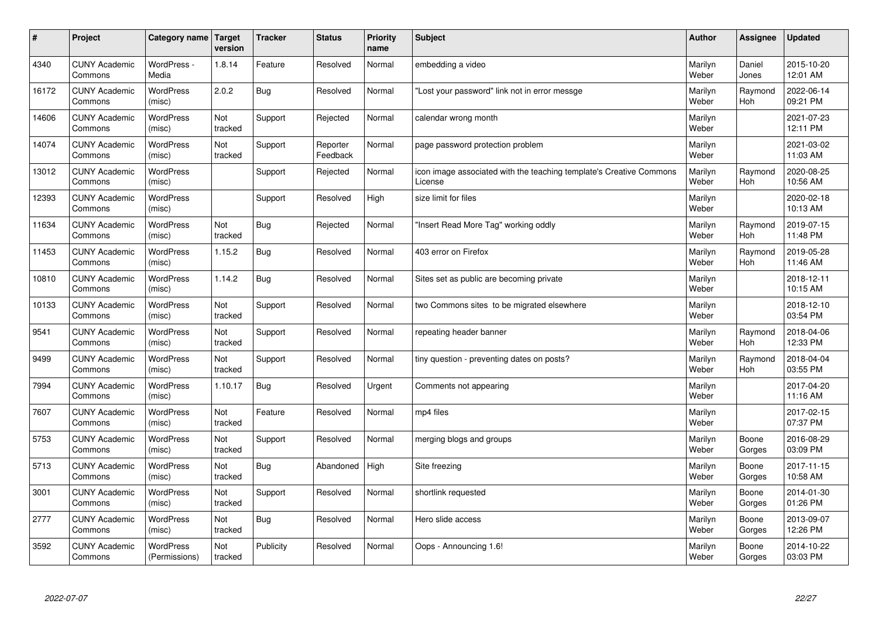| $\sharp$ | Project                         | Category name   Target            | version        | <b>Tracker</b> | <b>Status</b>        | <b>Priority</b><br>name | <b>Subject</b>                                                                 | <b>Author</b>    | Assignee        | <b>Updated</b>         |
|----------|---------------------------------|-----------------------------------|----------------|----------------|----------------------|-------------------------|--------------------------------------------------------------------------------|------------------|-----------------|------------------------|
| 4340     | <b>CUNY Academic</b><br>Commons | WordPress -<br>Media              | 1.8.14         | Feature        | Resolved             | Normal                  | embedding a video                                                              | Marilyn<br>Weber | Daniel<br>Jones | 2015-10-20<br>12:01 AM |
| 16172    | <b>CUNY Academic</b><br>Commons | <b>WordPress</b><br>(misc)        | 2.0.2          | Bug            | Resolved             | Normal                  | 'Lost your password" link not in error messge                                  | Marilyn<br>Weber | Raymond<br>Hoh  | 2022-06-14<br>09:21 PM |
| 14606    | <b>CUNY Academic</b><br>Commons | <b>WordPress</b><br>(misc)        | Not<br>tracked | Support        | Rejected             | Normal                  | calendar wrong month                                                           | Marilyn<br>Weber |                 | 2021-07-23<br>12:11 PM |
| 14074    | <b>CUNY Academic</b><br>Commons | <b>WordPress</b><br>(misc)        | Not<br>tracked | Support        | Reporter<br>Feedback | Normal                  | page password protection problem                                               | Marilyn<br>Weber |                 | 2021-03-02<br>11:03 AM |
| 13012    | <b>CUNY Academic</b><br>Commons | <b>WordPress</b><br>(misc)        |                | Support        | Rejected             | Normal                  | icon image associated with the teaching template's Creative Commons<br>License | Marilyn<br>Weber | Raymond<br>Hoh  | 2020-08-25<br>10:56 AM |
| 12393    | <b>CUNY Academic</b><br>Commons | WordPress<br>(misc)               |                | Support        | Resolved             | High                    | size limit for files                                                           | Marilyn<br>Weber |                 | 2020-02-18<br>10:13 AM |
| 11634    | <b>CUNY Academic</b><br>Commons | <b>WordPress</b><br>(misc)        | Not<br>tracked | Bug            | Rejected             | Normal                  | 'Insert Read More Tag" working oddly                                           | Marilyn<br>Weber | Raymond<br>Hoh  | 2019-07-15<br>11:48 PM |
| 11453    | <b>CUNY Academic</b><br>Commons | <b>WordPress</b><br>(misc)        | 1.15.2         | Bug            | Resolved             | Normal                  | 403 error on Firefox                                                           | Marilyn<br>Weber | Raymond<br>Hoh  | 2019-05-28<br>11:46 AM |
| 10810    | <b>CUNY Academic</b><br>Commons | <b>WordPress</b><br>(misc)        | 1.14.2         | Bug            | Resolved             | Normal                  | Sites set as public are becoming private                                       | Marilyn<br>Weber |                 | 2018-12-11<br>10:15 AM |
| 10133    | <b>CUNY Academic</b><br>Commons | WordPress<br>(misc)               | Not<br>tracked | Support        | Resolved             | Normal                  | two Commons sites to be migrated elsewhere                                     | Marilyn<br>Weber |                 | 2018-12-10<br>03:54 PM |
| 9541     | <b>CUNY Academic</b><br>Commons | WordPress<br>(misc)               | Not<br>tracked | Support        | Resolved             | Normal                  | repeating header banner                                                        | Marilyn<br>Weber | Raymond<br>Hoh  | 2018-04-06<br>12:33 PM |
| 9499     | <b>CUNY Academic</b><br>Commons | <b>WordPress</b><br>(misc)        | Not<br>tracked | Support        | Resolved             | Normal                  | tiny question - preventing dates on posts?                                     | Marilyn<br>Weber | Raymond<br>Hoh  | 2018-04-04<br>03:55 PM |
| 7994     | <b>CUNY Academic</b><br>Commons | WordPress<br>(misc)               | 1.10.17        | Bug            | Resolved             | Urgent                  | Comments not appearing                                                         | Marilyn<br>Weber |                 | 2017-04-20<br>11:16 AM |
| 7607     | <b>CUNY Academic</b><br>Commons | WordPress<br>(misc)               | Not<br>tracked | Feature        | Resolved             | Normal                  | mp4 files                                                                      | Marilyn<br>Weber |                 | 2017-02-15<br>07:37 PM |
| 5753     | <b>CUNY Academic</b><br>Commons | <b>WordPress</b><br>(misc)        | Not<br>tracked | Support        | Resolved             | Normal                  | merging blogs and groups                                                       | Marilyn<br>Weber | Boone<br>Gorges | 2016-08-29<br>03:09 PM |
| 5713     | <b>CUNY Academic</b><br>Commons | <b>WordPress</b><br>(misc)        | Not<br>tracked | Bug            | Abandoned            | High                    | Site freezing                                                                  | Marilyn<br>Weber | Boone<br>Gorges | 2017-11-15<br>10:58 AM |
| 3001     | <b>CUNY Academic</b><br>Commons | WordPress<br>(misc)               | Not<br>tracked | Support        | Resolved             | Normal                  | shortlink requested                                                            | Marilyn<br>Weber | Boone<br>Gorges | 2014-01-30<br>01:26 PM |
| 2777     | <b>CUNY Academic</b><br>Commons | WordPress<br>(misc)               | Not<br>tracked | Bug            | Resolved             | Normal                  | Hero slide access                                                              | Marilyn<br>Weber | Boone<br>Gorges | 2013-09-07<br>12:26 PM |
| 3592     | <b>CUNY Academic</b><br>Commons | <b>WordPress</b><br>(Permissions) | Not<br>tracked | Publicity      | Resolved             | Normal                  | Oops - Announcing 1.6!                                                         | Marilyn<br>Weber | Boone<br>Gorges | 2014-10-22<br>03:03 PM |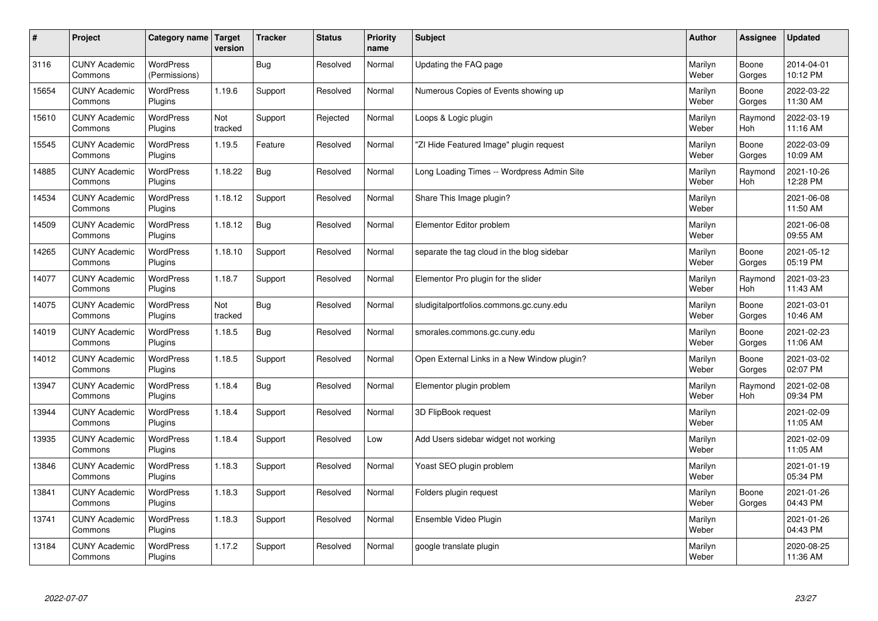| $\sharp$ | Project                         | Category name Target              | version        | <b>Tracker</b> | <b>Status</b> | <b>Priority</b><br>name | <b>Subject</b>                              | <b>Author</b>    | Assignee              | <b>Updated</b>         |
|----------|---------------------------------|-----------------------------------|----------------|----------------|---------------|-------------------------|---------------------------------------------|------------------|-----------------------|------------------------|
| 3116     | <b>CUNY Academic</b><br>Commons | <b>WordPress</b><br>(Permissions) |                | Bug            | Resolved      | Normal                  | Updating the FAQ page                       | Marilyn<br>Weber | Boone<br>Gorges       | 2014-04-01<br>10:12 PM |
| 15654    | <b>CUNY Academic</b><br>Commons | <b>WordPress</b><br>Plugins       | 1.19.6         | Support        | Resolved      | Normal                  | Numerous Copies of Events showing up        | Marilyn<br>Weber | Boone<br>Gorges       | 2022-03-22<br>11:30 AM |
| 15610    | <b>CUNY Academic</b><br>Commons | <b>WordPress</b><br>Plugins       | Not<br>tracked | Support        | Rejected      | Normal                  | Loops & Logic plugin                        | Marilyn<br>Weber | Raymond<br><b>Hoh</b> | 2022-03-19<br>11:16 AM |
| 15545    | <b>CUNY Academic</b><br>Commons | <b>WordPress</b><br>Plugins       | 1.19.5         | Feature        | Resolved      | Normal                  | 'ZI Hide Featured Image" plugin request     | Marilyn<br>Weber | Boone<br>Gorges       | 2022-03-09<br>10:09 AM |
| 14885    | <b>CUNY Academic</b><br>Commons | <b>WordPress</b><br>Plugins       | 1.18.22        | Bug            | Resolved      | Normal                  | Long Loading Times -- Wordpress Admin Site  | Marilyn<br>Weber | Raymond<br>Hoh        | 2021-10-26<br>12:28 PM |
| 14534    | <b>CUNY Academic</b><br>Commons | WordPress<br>Plugins              | 1.18.12        | Support        | Resolved      | Normal                  | Share This Image plugin?                    | Marilyn<br>Weber |                       | 2021-06-08<br>11:50 AM |
| 14509    | <b>CUNY Academic</b><br>Commons | <b>WordPress</b><br>Plugins       | 1.18.12        | Bug            | Resolved      | Normal                  | Elementor Editor problem                    | Marilyn<br>Weber |                       | 2021-06-08<br>09:55 AM |
| 14265    | <b>CUNY Academic</b><br>Commons | <b>WordPress</b><br>Plugins       | 1.18.10        | Support        | Resolved      | Normal                  | separate the tag cloud in the blog sidebar  | Marilyn<br>Weber | Boone<br>Gorges       | 2021-05-12<br>05:19 PM |
| 14077    | <b>CUNY Academic</b><br>Commons | <b>WordPress</b><br>Plugins       | 1.18.7         | Support        | Resolved      | Normal                  | Elementor Pro plugin for the slider         | Marilyn<br>Weber | Raymond<br><b>Hoh</b> | 2021-03-23<br>11:43 AM |
| 14075    | <b>CUNY Academic</b><br>Commons | WordPress<br>Plugins              | Not<br>tracked | Bug            | Resolved      | Normal                  | sludigitalportfolios.commons.gc.cuny.edu    | Marilyn<br>Weber | Boone<br>Gorges       | 2021-03-01<br>10:46 AM |
| 14019    | <b>CUNY Academic</b><br>Commons | WordPress<br>Plugins              | 1.18.5         | <b>Bug</b>     | Resolved      | Normal                  | smorales.commons.gc.cuny.edu                | Marilyn<br>Weber | Boone<br>Gorges       | 2021-02-23<br>11:06 AM |
| 14012    | <b>CUNY Academic</b><br>Commons | <b>WordPress</b><br>Plugins       | 1.18.5         | Support        | Resolved      | Normal                  | Open External Links in a New Window plugin? | Marilyn<br>Weber | Boone<br>Gorges       | 2021-03-02<br>02:07 PM |
| 13947    | <b>CUNY Academic</b><br>Commons | <b>WordPress</b><br>Plugins       | 1.18.4         | Bug            | Resolved      | Normal                  | Elementor plugin problem                    | Marilyn<br>Weber | Raymond<br>Hoh        | 2021-02-08<br>09:34 PM |
| 13944    | <b>CUNY Academic</b><br>Commons | WordPress<br>Plugins              | 1.18.4         | Support        | Resolved      | Normal                  | 3D FlipBook request                         | Marilyn<br>Weber |                       | 2021-02-09<br>11:05 AM |
| 13935    | <b>CUNY Academic</b><br>Commons | <b>WordPress</b><br>Plugins       | 1.18.4         | Support        | Resolved      | Low                     | Add Users sidebar widget not working        | Marilyn<br>Weber |                       | 2021-02-09<br>11:05 AM |
| 13846    | <b>CUNY Academic</b><br>Commons | <b>WordPress</b><br>Plugins       | 1.18.3         | Support        | Resolved      | Normal                  | Yoast SEO plugin problem                    | Marilyn<br>Weber |                       | 2021-01-19<br>05:34 PM |
| 13841    | <b>CUNY Academic</b><br>Commons | WordPress<br>Plugins              | 1.18.3         | Support        | Resolved      | Normal                  | Folders plugin request                      | Marilyn<br>Weber | Boone<br>Gorges       | 2021-01-26<br>04:43 PM |
| 13741    | <b>CUNY Academic</b><br>Commons | WordPress<br>Plugins              | 1.18.3         | Support        | Resolved      | Normal                  | Ensemble Video Plugin                       | Marilyn<br>Weber |                       | 2021-01-26<br>04:43 PM |
| 13184    | <b>CUNY Academic</b><br>Commons | WordPress<br>Plugins              | 1.17.2         | Support        | Resolved      | Normal                  | google translate plugin                     | Marilyn<br>Weber |                       | 2020-08-25<br>11:36 AM |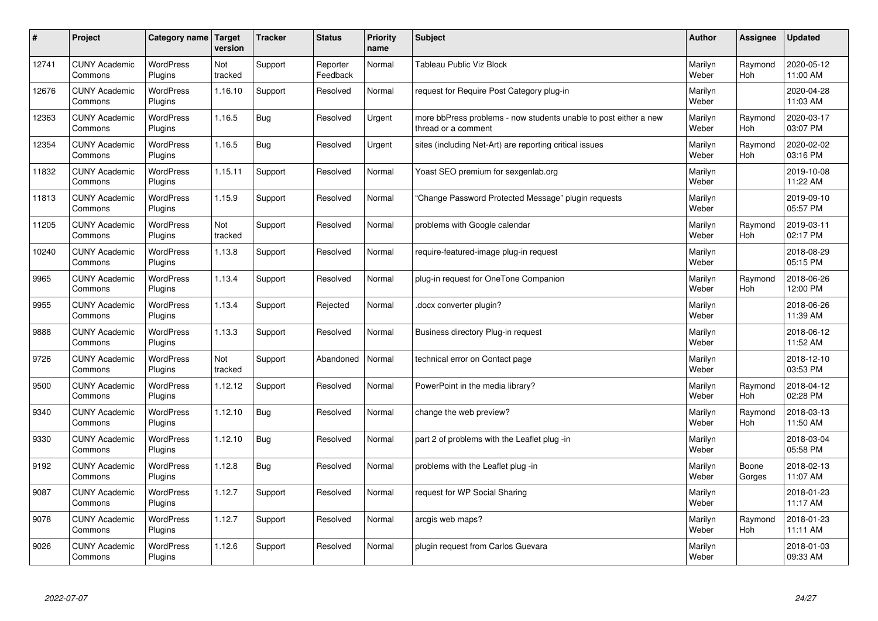| $\pmb{\#}$ | Project                         | Category name               | Target<br>version | <b>Tracker</b> | <b>Status</b>        | <b>Priority</b><br>name | <b>Subject</b>                                                                          | <b>Author</b>    | Assignee              | <b>Updated</b>         |
|------------|---------------------------------|-----------------------------|-------------------|----------------|----------------------|-------------------------|-----------------------------------------------------------------------------------------|------------------|-----------------------|------------------------|
| 12741      | <b>CUNY Academic</b><br>Commons | <b>WordPress</b><br>Plugins | Not<br>tracked    | Support        | Reporter<br>Feedback | Normal                  | Tableau Public Viz Block                                                                | Marilyn<br>Weber | Raymond<br><b>Hoh</b> | 2020-05-12<br>11:00 AM |
| 12676      | <b>CUNY Academic</b><br>Commons | <b>WordPress</b><br>Plugins | 1.16.10           | Support        | Resolved             | Normal                  | request for Require Post Category plug-in                                               | Marilyn<br>Weber |                       | 2020-04-28<br>11:03 AM |
| 12363      | <b>CUNY Academic</b><br>Commons | WordPress<br>Plugins        | 1.16.5            | <b>Bug</b>     | Resolved             | Urgent                  | more bbPress problems - now students unable to post either a new<br>thread or a comment | Marilyn<br>Weber | Raymond<br><b>Hoh</b> | 2020-03-17<br>03:07 PM |
| 12354      | <b>CUNY Academic</b><br>Commons | <b>WordPress</b><br>Plugins | 1.16.5            | <b>Bug</b>     | Resolved             | Urgent                  | sites (including Net-Art) are reporting critical issues                                 | Marilyn<br>Weber | Raymond<br><b>Hoh</b> | 2020-02-02<br>03:16 PM |
| 11832      | <b>CUNY Academic</b><br>Commons | <b>WordPress</b><br>Plugins | 1.15.11           | Support        | Resolved             | Normal                  | Yoast SEO premium for sexgenlab.org                                                     | Marilyn<br>Weber |                       | 2019-10-08<br>11:22 AM |
| 11813      | <b>CUNY Academic</b><br>Commons | <b>WordPress</b><br>Plugins | 1.15.9            | Support        | Resolved             | Normal                  | Change Password Protected Message" plugin requests                                      | Marilyn<br>Weber |                       | 2019-09-10<br>05:57 PM |
| 11205      | <b>CUNY Academic</b><br>Commons | <b>WordPress</b><br>Plugins | Not<br>tracked    | Support        | Resolved             | Normal                  | problems with Google calendar                                                           | Marilyn<br>Weber | Raymond<br>Hoh        | 2019-03-11<br>02:17 PM |
| 10240      | <b>CUNY Academic</b><br>Commons | <b>WordPress</b><br>Plugins | 1.13.8            | Support        | Resolved             | Normal                  | require-featured-image plug-in request                                                  | Marilyn<br>Weber |                       | 2018-08-29<br>05:15 PM |
| 9965       | <b>CUNY Academic</b><br>Commons | <b>WordPress</b><br>Plugins | 1.13.4            | Support        | Resolved             | Normal                  | plug-in request for OneTone Companion                                                   | Marilyn<br>Weber | Raymond<br><b>Hoh</b> | 2018-06-26<br>12:00 PM |
| 9955       | <b>CUNY Academic</b><br>Commons | <b>WordPress</b><br>Plugins | 1.13.4            | Support        | Rejected             | Normal                  | docx converter plugin?                                                                  | Marilyn<br>Weber |                       | 2018-06-26<br>11:39 AM |
| 9888       | <b>CUNY Academic</b><br>Commons | WordPress<br>Plugins        | 1.13.3            | Support        | Resolved             | Normal                  | Business directory Plug-in request                                                      | Marilyn<br>Weber |                       | 2018-06-12<br>11:52 AM |
| 9726       | <b>CUNY Academic</b><br>Commons | <b>WordPress</b><br>Plugins | Not<br>tracked    | Support        | Abandoned            | Normal                  | technical error on Contact page                                                         | Marilyn<br>Weber |                       | 2018-12-10<br>03:53 PM |
| 9500       | <b>CUNY Academic</b><br>Commons | <b>WordPress</b><br>Plugins | 1.12.12           | Support        | Resolved             | Normal                  | PowerPoint in the media library?                                                        | Marilyn<br>Weber | Raymond<br>Hoh        | 2018-04-12<br>02:28 PM |
| 9340       | <b>CUNY Academic</b><br>Commons | WordPress<br>Plugins        | 1.12.10           | Bug            | Resolved             | Normal                  | change the web preview?                                                                 | Marilyn<br>Weber | Raymond<br><b>Hoh</b> | 2018-03-13<br>11:50 AM |
| 9330       | <b>CUNY Academic</b><br>Commons | <b>WordPress</b><br>Plugins | 1.12.10           | Bug            | Resolved             | Normal                  | part 2 of problems with the Leaflet plug -in                                            | Marilyn<br>Weber |                       | 2018-03-04<br>05:58 PM |
| 9192       | <b>CUNY Academic</b><br>Commons | <b>WordPress</b><br>Plugins | 1.12.8            | <b>Bug</b>     | Resolved             | Normal                  | problems with the Leaflet plug -in                                                      | Marilyn<br>Weber | Boone<br>Gorges       | 2018-02-13<br>11:07 AM |
| 9087       | <b>CUNY Academic</b><br>Commons | WordPress<br>Plugins        | 1.12.7            | Support        | Resolved             | Normal                  | request for WP Social Sharing                                                           | Marilyn<br>Weber |                       | 2018-01-23<br>11:17 AM |
| 9078       | <b>CUNY Academic</b><br>Commons | WordPress<br>Plugins        | 1.12.7            | Support        | Resolved             | Normal                  | arcgis web maps?                                                                        | Marilyn<br>Weber | Raymond<br><b>Hoh</b> | 2018-01-23<br>11:11 AM |
| 9026       | <b>CUNY Academic</b><br>Commons | <b>WordPress</b><br>Plugins | 1.12.6            | Support        | Resolved             | Normal                  | plugin request from Carlos Guevara                                                      | Marilyn<br>Weber |                       | 2018-01-03<br>09:33 AM |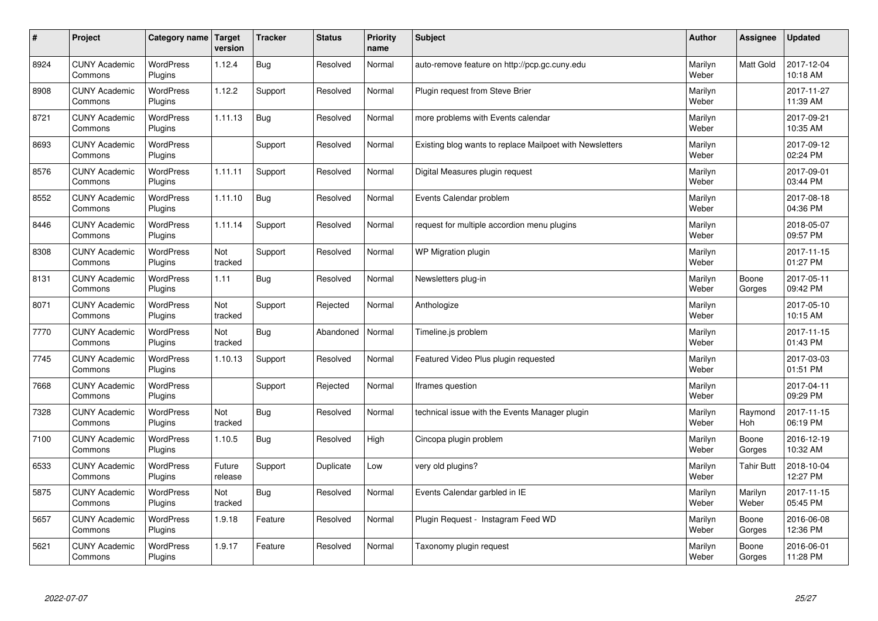| $\sharp$ | Project                         | Category name               | Target<br>version | <b>Tracker</b> | <b>Status</b> | <b>Priority</b><br>name | <b>Subject</b>                                           | <b>Author</b>    | Assignee              | <b>Updated</b>         |
|----------|---------------------------------|-----------------------------|-------------------|----------------|---------------|-------------------------|----------------------------------------------------------|------------------|-----------------------|------------------------|
| 8924     | <b>CUNY Academic</b><br>Commons | <b>WordPress</b><br>Plugins | 1.12.4            | Bug            | Resolved      | Normal                  | auto-remove feature on http://pcp.gc.cuny.edu            | Marilyn<br>Weber | <b>Matt Gold</b>      | 2017-12-04<br>10:18 AM |
| 8908     | <b>CUNY Academic</b><br>Commons | <b>WordPress</b><br>Plugins | 1.12.2            | Support        | Resolved      | Normal                  | Plugin request from Steve Brier                          | Marilyn<br>Weber |                       | 2017-11-27<br>11:39 AM |
| 8721     | <b>CUNY Academic</b><br>Commons | <b>WordPress</b><br>Plugins | 1.11.13           | Bug            | Resolved      | Normal                  | more problems with Events calendar                       | Marilyn<br>Weber |                       | 2017-09-21<br>10:35 AM |
| 8693     | <b>CUNY Academic</b><br>Commons | <b>WordPress</b><br>Plugins |                   | Support        | Resolved      | Normal                  | Existing blog wants to replace Mailpoet with Newsletters | Marilyn<br>Weber |                       | 2017-09-12<br>02:24 PM |
| 8576     | <b>CUNY Academic</b><br>Commons | <b>WordPress</b><br>Plugins | 1.11.11           | Support        | Resolved      | Normal                  | Digital Measures plugin request                          | Marilyn<br>Weber |                       | 2017-09-01<br>03:44 PM |
| 8552     | <b>CUNY Academic</b><br>Commons | WordPress<br>Plugins        | 1.11.10           | Bug            | Resolved      | Normal                  | Events Calendar problem                                  | Marilyn<br>Weber |                       | 2017-08-18<br>04:36 PM |
| 8446     | <b>CUNY Academic</b><br>Commons | <b>WordPress</b><br>Plugins | 1.11.14           | Support        | Resolved      | Normal                  | request for multiple accordion menu plugins              | Marilyn<br>Weber |                       | 2018-05-07<br>09:57 PM |
| 8308     | <b>CUNY Academic</b><br>Commons | <b>WordPress</b><br>Plugins | Not<br>tracked    | Support        | Resolved      | Normal                  | WP Migration plugin                                      | Marilyn<br>Weber |                       | 2017-11-15<br>01:27 PM |
| 8131     | <b>CUNY Academic</b><br>Commons | <b>WordPress</b><br>Plugins | 1.11              | Bug            | Resolved      | Normal                  | Newsletters plug-in                                      | Marilyn<br>Weber | Boone<br>Gorges       | 2017-05-11<br>09:42 PM |
| 8071     | <b>CUNY Academic</b><br>Commons | WordPress<br>Plugins        | Not<br>tracked    | Support        | Rejected      | Normal                  | Anthologize                                              | Marilyn<br>Weber |                       | 2017-05-10<br>10:15 AM |
| 7770     | <b>CUNY Academic</b><br>Commons | WordPress<br>Plugins        | Not<br>tracked    | Bug            | Abandoned     | Normal                  | Timeline.js problem                                      | Marilyn<br>Weber |                       | 2017-11-15<br>01:43 PM |
| 7745     | <b>CUNY Academic</b><br>Commons | <b>WordPress</b><br>Plugins | 1.10.13           | Support        | Resolved      | Normal                  | Featured Video Plus plugin requested                     | Marilyn<br>Weber |                       | 2017-03-03<br>01:51 PM |
| 7668     | <b>CUNY Academic</b><br>Commons | WordPress<br>Plugins        |                   | Support        | Rejected      | Normal                  | Iframes question                                         | Marilyn<br>Weber |                       | 2017-04-11<br>09:29 PM |
| 7328     | <b>CUNY Academic</b><br>Commons | <b>WordPress</b><br>Plugins | Not<br>tracked    | Bug            | Resolved      | Normal                  | technical issue with the Events Manager plugin           | Marilyn<br>Weber | Raymond<br><b>Hoh</b> | 2017-11-15<br>06:19 PM |
| 7100     | <b>CUNY Academic</b><br>Commons | <b>WordPress</b><br>Plugins | 1.10.5            | Bug            | Resolved      | High                    | Cincopa plugin problem                                   | Marilyn<br>Weber | Boone<br>Gorges       | 2016-12-19<br>10:32 AM |
| 6533     | <b>CUNY Academic</b><br>Commons | <b>WordPress</b><br>Plugins | Future<br>release | Support        | Duplicate     | Low                     | very old plugins?                                        | Marilyn<br>Weber | <b>Tahir Butt</b>     | 2018-10-04<br>12:27 PM |
| 5875     | <b>CUNY Academic</b><br>Commons | WordPress<br>Plugins        | Not<br>tracked    | Bug            | Resolved      | Normal                  | Events Calendar garbled in IE                            | Marilyn<br>Weber | Marilyn<br>Weber      | 2017-11-15<br>05:45 PM |
| 5657     | <b>CUNY Academic</b><br>Commons | WordPress<br>Plugins        | 1.9.18            | Feature        | Resolved      | Normal                  | Plugin Request - Instagram Feed WD                       | Marilyn<br>Weber | Boone<br>Gorges       | 2016-06-08<br>12:36 PM |
| 5621     | <b>CUNY Academic</b><br>Commons | <b>WordPress</b><br>Plugins | 1.9.17            | Feature        | Resolved      | Normal                  | Taxonomy plugin request                                  | Marilyn<br>Weber | Boone<br>Gorges       | 2016-06-01<br>11:28 PM |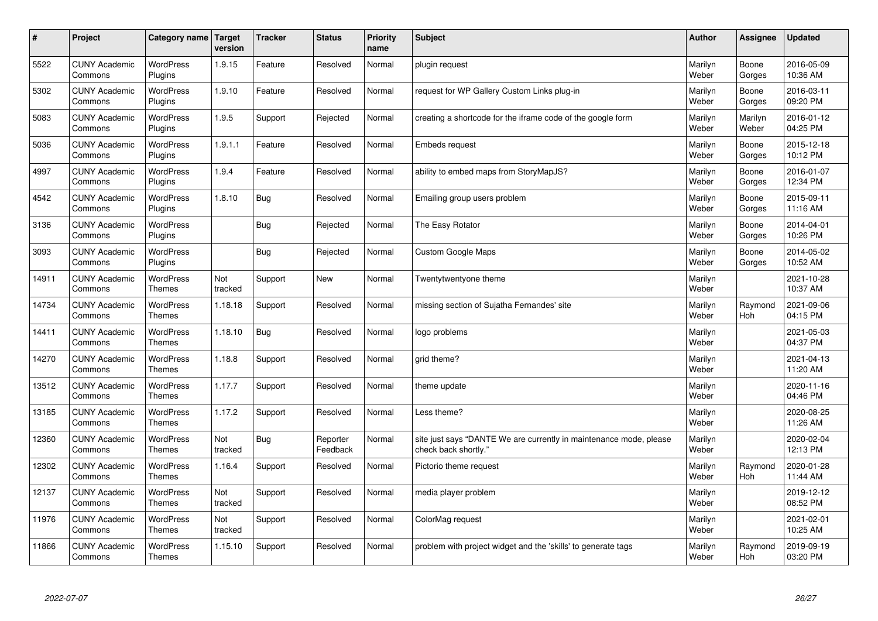| $\vert$ # | Project                         | Category name                     | <b>Target</b><br>version | <b>Tracker</b> | <b>Status</b>        | <b>Priority</b><br>name | <b>Subject</b>                                                                             | <b>Author</b>    | <b>Assignee</b>       | <b>Updated</b>         |
|-----------|---------------------------------|-----------------------------------|--------------------------|----------------|----------------------|-------------------------|--------------------------------------------------------------------------------------------|------------------|-----------------------|------------------------|
| 5522      | <b>CUNY Academic</b><br>Commons | <b>WordPress</b><br>Plugins       | 1.9.15                   | Feature        | Resolved             | Normal                  | plugin request                                                                             | Marilyn<br>Weber | Boone<br>Gorges       | 2016-05-09<br>10:36 AM |
| 5302      | <b>CUNY Academic</b><br>Commons | WordPress<br>Plugins              | 1.9.10                   | Feature        | Resolved             | Normal                  | request for WP Gallery Custom Links plug-in                                                | Marilyn<br>Weber | Boone<br>Gorges       | 2016-03-11<br>09:20 PM |
| 5083      | <b>CUNY Academic</b><br>Commons | WordPress<br>Plugins              | 1.9.5                    | Support        | Rejected             | Normal                  | creating a shortcode for the iframe code of the google form                                | Marilyn<br>Weber | Marilyn<br>Weber      | 2016-01-12<br>04:25 PM |
| 5036      | <b>CUNY Academic</b><br>Commons | <b>WordPress</b><br>Plugins       | 1.9.1.1                  | Feature        | Resolved             | Normal                  | Embeds request                                                                             | Marilyn<br>Weber | Boone<br>Gorges       | 2015-12-18<br>10:12 PM |
| 4997      | <b>CUNY Academic</b><br>Commons | <b>WordPress</b><br>Plugins       | 1.9.4                    | Feature        | Resolved             | Normal                  | ability to embed maps from StoryMapJS?                                                     | Marilyn<br>Weber | Boone<br>Gorges       | 2016-01-07<br>12:34 PM |
| 4542      | <b>CUNY Academic</b><br>Commons | WordPress<br>Plugins              | 1.8.10                   | Bug            | Resolved             | Normal                  | Emailing group users problem                                                               | Marilyn<br>Weber | Boone<br>Gorges       | 2015-09-11<br>11:16 AM |
| 3136      | <b>CUNY Academic</b><br>Commons | WordPress<br>Plugins              |                          | Bug            | Rejected             | Normal                  | The Easy Rotator                                                                           | Marilyn<br>Weber | Boone<br>Gorges       | 2014-04-01<br>10:26 PM |
| 3093      | <b>CUNY Academic</b><br>Commons | WordPress<br>Plugins              |                          | Bug            | Rejected             | Normal                  | <b>Custom Google Maps</b>                                                                  | Marilyn<br>Weber | Boone<br>Gorges       | 2014-05-02<br>10:52 AM |
| 14911     | <b>CUNY Academic</b><br>Commons | WordPress<br>Themes               | Not<br>tracked           | Support        | New                  | Normal                  | Twentytwentyone theme                                                                      | Marilyn<br>Weber |                       | 2021-10-28<br>10:37 AM |
| 14734     | <b>CUNY Academic</b><br>Commons | WordPress<br><b>Themes</b>        | 1.18.18                  | Support        | Resolved             | Normal                  | missing section of Sujatha Fernandes' site                                                 | Marilyn<br>Weber | Raymond<br>Hoh        | 2021-09-06<br>04:15 PM |
| 14411     | <b>CUNY Academic</b><br>Commons | WordPress<br><b>Themes</b>        | 1.18.10                  | Bug            | Resolved             | Normal                  | logo problems                                                                              | Marilyn<br>Weber |                       | 2021-05-03<br>04:37 PM |
| 14270     | <b>CUNY Academic</b><br>Commons | WordPress<br>Themes               | 1.18.8                   | Support        | Resolved             | Normal                  | grid theme?                                                                                | Marilyn<br>Weber |                       | 2021-04-13<br>11:20 AM |
| 13512     | <b>CUNY Academic</b><br>Commons | WordPress<br>Themes               | 1.17.7                   | Support        | Resolved             | Normal                  | theme update                                                                               | Marilyn<br>Weber |                       | 2020-11-16<br>04:46 PM |
| 13185     | <b>CUNY Academic</b><br>Commons | WordPress<br><b>Themes</b>        | 1.17.2                   | Support        | Resolved             | Normal                  | Less theme?                                                                                | Marilyn<br>Weber |                       | 2020-08-25<br>11:26 AM |
| 12360     | <b>CUNY Academic</b><br>Commons | <b>WordPress</b><br><b>Themes</b> | Not<br>tracked           | <b>Bug</b>     | Reporter<br>Feedback | Normal                  | site just says "DANTE We are currently in maintenance mode, please<br>check back shortly." | Marilyn<br>Weber |                       | 2020-02-04<br>12:13 PM |
| 12302     | <b>CUNY Academic</b><br>Commons | WordPress<br><b>Themes</b>        | 1.16.4                   | Support        | Resolved             | Normal                  | Pictorio theme request                                                                     | Marilyn<br>Weber | Raymond<br><b>Hoh</b> | 2020-01-28<br>11:44 AM |
| 12137     | <b>CUNY Academic</b><br>Commons | WordPress<br><b>Themes</b>        | Not<br>tracked           | Support        | Resolved             | Normal                  | media player problem                                                                       | Marilyn<br>Weber |                       | 2019-12-12<br>08:52 PM |
| 11976     | <b>CUNY Academic</b><br>Commons | WordPress<br><b>Themes</b>        | Not<br>tracked           | Support        | Resolved             | Normal                  | ColorMag request                                                                           | Marilyn<br>Weber |                       | 2021-02-01<br>10:25 AM |
| 11866     | <b>CUNY Academic</b><br>Commons | <b>WordPress</b><br>Themes        | 1.15.10                  | Support        | Resolved             | Normal                  | problem with project widget and the 'skills' to generate tags                              | Marilyn<br>Weber | Raymond<br>Hoh        | 2019-09-19<br>03:20 PM |